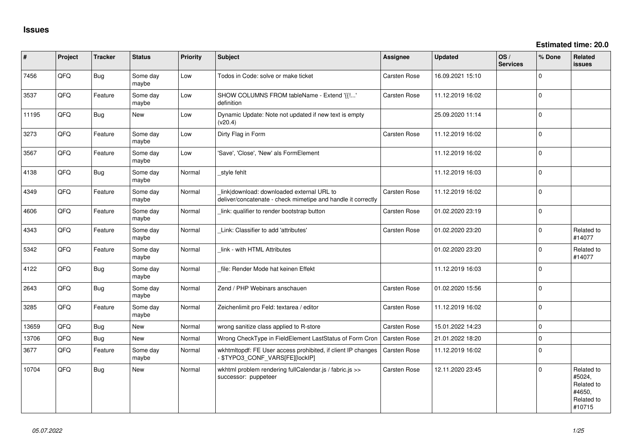| $\vert$ # | Project | <b>Tracker</b> | <b>Status</b>     | Priority | <b>Subject</b>                                                                                            | <b>Assignee</b>     | <b>Updated</b>   | OS/<br><b>Services</b> | % Done      | Related<br>issues                                                    |
|-----------|---------|----------------|-------------------|----------|-----------------------------------------------------------------------------------------------------------|---------------------|------------------|------------------------|-------------|----------------------------------------------------------------------|
| 7456      | QFQ     | Bug            | Some day<br>maybe | Low      | Todos in Code: solve or make ticket                                                                       | Carsten Rose        | 16.09.2021 15:10 |                        | $\Omega$    |                                                                      |
| 3537      | QFQ     | Feature        | Some day<br>maybe | Low      | SHOW COLUMNS FROM tableName - Extend '{{!'<br>definition                                                  | Carsten Rose        | 11.12.2019 16:02 |                        | $\mathbf 0$ |                                                                      |
| 11195     | QFQ     | Bug            | <b>New</b>        | Low      | Dynamic Update: Note not updated if new text is empty<br>(v20.4)                                          |                     | 25.09.2020 11:14 |                        | $\Omega$    |                                                                      |
| 3273      | QFQ     | Feature        | Some day<br>maybe | Low      | Dirty Flag in Form                                                                                        | Carsten Rose        | 11.12.2019 16:02 |                        | $\mathbf 0$ |                                                                      |
| 3567      | QFQ     | Feature        | Some day<br>maybe | Low      | 'Save', 'Close', 'New' als FormElement                                                                    |                     | 11.12.2019 16:02 |                        | $\mathbf 0$ |                                                                      |
| 4138      | QFQ     | Bug            | Some day<br>maybe | Normal   | style fehlt                                                                                               |                     | 11.12.2019 16:03 |                        | $\Omega$    |                                                                      |
| 4349      | QFQ     | Feature        | Some day<br>maybe | Normal   | link download: downloaded external URL to<br>deliver/concatenate - check mimetipe and handle it correctly | Carsten Rose        | 11.12.2019 16:02 |                        | $\mathbf 0$ |                                                                      |
| 4606      | QFQ     | Feature        | Some day<br>maybe | Normal   | link: qualifier to render bootstrap button                                                                | Carsten Rose        | 01.02.2020 23:19 |                        | $\Omega$    |                                                                      |
| 4343      | QFQ     | Feature        | Some day<br>maybe | Normal   | Link: Classifier to add 'attributes'                                                                      | Carsten Rose        | 01.02.2020 23:20 |                        | $\mathbf 0$ | Related to<br>#14077                                                 |
| 5342      | QFQ     | Feature        | Some day<br>maybe | Normal   | link - with HTML Attributes                                                                               |                     | 01.02.2020 23:20 |                        | $\Omega$    | Related to<br>#14077                                                 |
| 4122      | QFQ     | Bug            | Some day<br>maybe | Normal   | file: Render Mode hat keinen Effekt                                                                       |                     | 11.12.2019 16:03 |                        | $\mathbf 0$ |                                                                      |
| 2643      | QFQ     | Bug            | Some day<br>maybe | Normal   | Zend / PHP Webinars anschauen                                                                             | <b>Carsten Rose</b> | 01.02.2020 15:56 |                        | $\mathbf 0$ |                                                                      |
| 3285      | QFQ     | Feature        | Some day<br>maybe | Normal   | Zeichenlimit pro Feld: textarea / editor                                                                  | Carsten Rose        | 11.12.2019 16:02 |                        | $\Omega$    |                                                                      |
| 13659     | QFQ     | Bug            | New               | Normal   | wrong sanitize class applied to R-store                                                                   | Carsten Rose        | 15.01.2022 14:23 |                        | $\mathbf 0$ |                                                                      |
| 13706     | QFQ     | Bug            | New               | Normal   | Wrong CheckType in FieldElement LastStatus of Form Cron                                                   | Carsten Rose        | 21.01.2022 18:20 |                        | $\mathbf 0$ |                                                                      |
| 3677      | QFQ     | Feature        | Some day<br>maybe | Normal   | wkhtmitopdf: FE User access prohibited, if client IP changes<br>- \$TYPO3_CONF_VARS[FE][lockIP]           | <b>Carsten Rose</b> | 11.12.2019 16:02 |                        | $\Omega$    |                                                                      |
| 10704     | QFQ     | Bug            | New               | Normal   | wkhtml problem rendering fullCalendar.js / fabric.js >><br>successor: puppeteer                           | <b>Carsten Rose</b> | 12.11.2020 23:45 |                        | $\Omega$    | Related to<br>#5024,<br>Related to<br>#4650,<br>Related to<br>#10715 |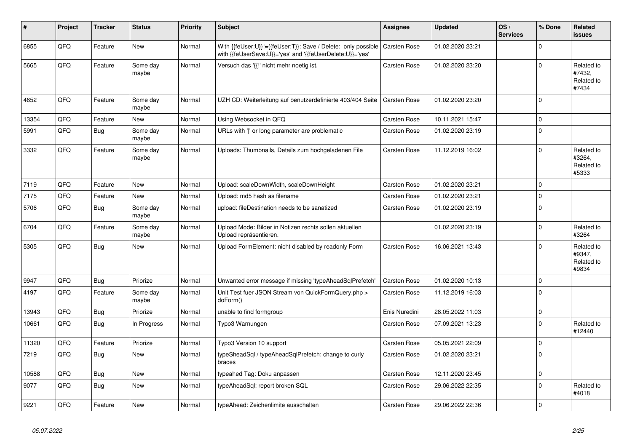| #     | Project | <b>Tracker</b> | <b>Status</b>     | <b>Priority</b> | <b>Subject</b>                                                                                                             | <b>Assignee</b>     | <b>Updated</b>   | OS/<br><b>Services</b> | % Done      | Related<br><b>issues</b>                    |
|-------|---------|----------------|-------------------|-----------------|----------------------------------------------------------------------------------------------------------------------------|---------------------|------------------|------------------------|-------------|---------------------------------------------|
| 6855  | QFQ     | Feature        | <b>New</b>        | Normal          | With {{feUser:U}}!={{feUser:T}}: Save / Delete: only possible<br>with {{feUserSave:U}}='yes' and '{{feUserDelete:U}}='yes' | <b>Carsten Rose</b> | 01.02.2020 23:21 |                        | $\Omega$    |                                             |
| 5665  | QFQ     | Feature        | Some day<br>maybe | Normal          | Versuch das '{{!' nicht mehr noetig ist.                                                                                   | Carsten Rose        | 01.02.2020 23:20 |                        | $\Omega$    | Related to<br>#7432,<br>Related to<br>#7434 |
| 4652  | QFQ     | Feature        | Some day<br>maybe | Normal          | UZH CD: Weiterleitung auf benutzerdefinierte 403/404 Seite                                                                 | Carsten Rose        | 01.02.2020 23:20 |                        | $\Omega$    |                                             |
| 13354 | QFQ     | Feature        | <b>New</b>        | Normal          | Using Websocket in QFQ                                                                                                     | <b>Carsten Rose</b> | 10.11.2021 15:47 |                        | $\Omega$    |                                             |
| 5991  | QFG     | Bug            | Some day<br>maybe | Normal          | URLs with ' ' or long parameter are problematic                                                                            | Carsten Rose        | 01.02.2020 23:19 |                        | $\Omega$    |                                             |
| 3332  | QFQ     | Feature        | Some day<br>maybe | Normal          | Uploads: Thumbnails, Details zum hochgeladenen File                                                                        | Carsten Rose        | 11.12.2019 16:02 |                        | $\Omega$    | Related to<br>#3264,<br>Related to<br>#5333 |
| 7119  | QFQ     | Feature        | <b>New</b>        | Normal          | Upload: scaleDownWidth, scaleDownHeight                                                                                    | Carsten Rose        | 01.02.2020 23:21 |                        | $\Omega$    |                                             |
| 7175  | QFQ     | Feature        | <b>New</b>        | Normal          | Upload: md5 hash as filename                                                                                               | Carsten Rose        | 01.02.2020 23:21 |                        | $\Omega$    |                                             |
| 5706  | QFQ     | <b>Bug</b>     | Some day<br>maybe | Normal          | upload: fileDestination needs to be sanatized                                                                              | Carsten Rose        | 01.02.2020 23:19 |                        | $\Omega$    |                                             |
| 6704  | QFQ     | Feature        | Some day<br>maybe | Normal          | Upload Mode: Bilder in Notizen rechts sollen aktuellen<br>Upload repräsentieren.                                           |                     | 01.02.2020 23:19 |                        | $\Omega$    | Related to<br>#3264                         |
| 5305  | QFQ     | Bug            | <b>New</b>        | Normal          | Upload FormElement: nicht disabled by readonly Form                                                                        | Carsten Rose        | 16.06.2021 13:43 |                        | $\Omega$    | Related to<br>#9347,<br>Related to<br>#9834 |
| 9947  | QFQ     | Bug            | Priorize          | Normal          | Unwanted error message if missing 'typeAheadSqlPrefetch'                                                                   | Carsten Rose        | 01.02.2020 10:13 |                        | $\mathbf 0$ |                                             |
| 4197  | QFQ     | Feature        | Some day<br>maybe | Normal          | Unit Test fuer JSON Stream von QuickFormQuery.php ><br>doForm()                                                            | Carsten Rose        | 11.12.2019 16:03 |                        | $\Omega$    |                                             |
| 13943 | QFQ     | Bug            | Priorize          | Normal          | unable to find formgroup                                                                                                   | Enis Nuredini       | 28.05.2022 11:03 |                        | $\mathbf 0$ |                                             |
| 10661 | QFQ     | Bug            | In Progress       | Normal          | Typo3 Warnungen                                                                                                            | Carsten Rose        | 07.09.2021 13:23 |                        | $\Omega$    | Related to<br>#12440                        |
| 11320 | QFQ     | Feature        | Priorize          | Normal          | Typo3 Version 10 support                                                                                                   | Carsten Rose        | 05.05.2021 22:09 |                        | $\pmb{0}$   |                                             |
| 7219  | QFQ     | <b>Bug</b>     | <b>New</b>        | Normal          | typeSheadSql / typeAheadSqlPrefetch: change to curly<br>braces                                                             | Carsten Rose        | 01.02.2020 23:21 |                        | $\Omega$    |                                             |
| 10588 | QFQ     | Bug            | <b>New</b>        | Normal          | typeahed Tag: Doku anpassen                                                                                                | Carsten Rose        | 12.11.2020 23:45 |                        | $\mathbf 0$ |                                             |
| 9077  | QFQ     | Bug            | <b>New</b>        | Normal          | typeAheadSql: report broken SQL                                                                                            | Carsten Rose        | 29.06.2022 22:35 |                        | $\Omega$    | Related to<br>#4018                         |
| 9221  | QFQ     | Feature        | New               | Normal          | typeAhead: Zeichenlimite ausschalten                                                                                       | <b>Carsten Rose</b> | 29.06.2022 22:36 |                        | $\mathbf 0$ |                                             |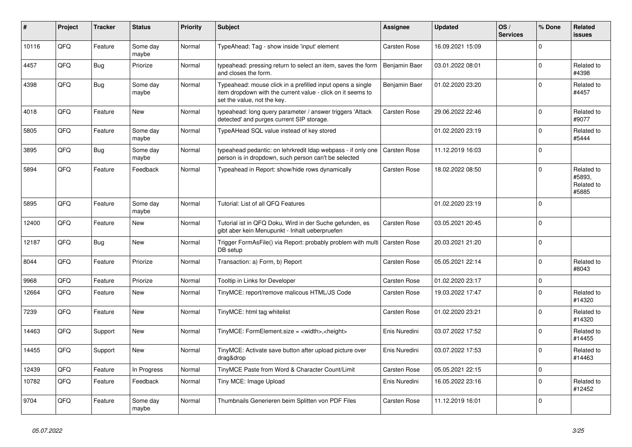| ∦     | <b>Project</b> | <b>Tracker</b> | <b>Status</b>     | <b>Priority</b> | <b>Subject</b>                                                                                                                                           | Assignee            | <b>Updated</b>   | OS/<br><b>Services</b> | % Done      | Related<br><b>issues</b>                    |
|-------|----------------|----------------|-------------------|-----------------|----------------------------------------------------------------------------------------------------------------------------------------------------------|---------------------|------------------|------------------------|-------------|---------------------------------------------|
| 10116 | QFQ            | Feature        | Some day<br>maybe | Normal          | TypeAhead: Tag - show inside 'input' element                                                                                                             | Carsten Rose        | 16.09.2021 15:09 |                        | $\Omega$    |                                             |
| 4457  | QFQ            | <b>Bug</b>     | Priorize          | Normal          | typeahead: pressing return to select an item, saves the form<br>and closes the form.                                                                     | Benjamin Baer       | 03.01.2022 08:01 |                        | $\mathbf 0$ | Related to<br>#4398                         |
| 4398  | QFQ            | Bug            | Some day<br>maybe | Normal          | Typeahead: mouse click in a prefilled input opens a single<br>item dropdown with the current value - click on it seems to<br>set the value, not the key. | Benjamin Baer       | 01.02.2020 23:20 |                        | $\Omega$    | Related to<br>#4457                         |
| 4018  | QFQ            | Feature        | <b>New</b>        | Normal          | typeahead: long query parameter / answer triggers 'Attack<br>detected' and purges current SIP storage.                                                   | Carsten Rose        | 29.06.2022 22:46 |                        | $\Omega$    | Related to<br>#9077                         |
| 5805  | QFQ            | Feature        | Some day<br>maybe | Normal          | TypeAHead SQL value instead of key stored                                                                                                                |                     | 01.02.2020 23:19 |                        | $\mathbf 0$ | Related to<br>#5444                         |
| 3895  | QFQ            | <b>Bug</b>     | Some day<br>maybe | Normal          | typeahead pedantic: on lehrkredit Idap webpass - if only one<br>person is in dropdown, such person can't be selected                                     | <b>Carsten Rose</b> | 11.12.2019 16:03 |                        | $\mathbf 0$ |                                             |
| 5894  | QFQ            | Feature        | Feedback          | Normal          | Typeahead in Report: show/hide rows dynamically                                                                                                          | Carsten Rose        | 18.02.2022 08:50 |                        | $\mathbf 0$ | Related to<br>#5893.<br>Related to<br>#5885 |
| 5895  | QFQ            | Feature        | Some day<br>maybe | Normal          | Tutorial: List of all QFQ Features                                                                                                                       |                     | 01.02.2020 23:19 |                        | $\Omega$    |                                             |
| 12400 | QFQ            | Feature        | <b>New</b>        | Normal          | Tutorial ist in QFQ Doku, Wird in der Suche gefunden, es<br>gibt aber kein Menupunkt - Inhalt ueberpruefen                                               | Carsten Rose        | 03.05.2021 20:45 |                        | $\mathbf 0$ |                                             |
| 12187 | QFQ            | Bug            | <b>New</b>        | Normal          | Trigger FormAsFile() via Report: probably problem with multi<br>DB setup                                                                                 | <b>Carsten Rose</b> | 20.03.2021 21:20 |                        | $\mathbf 0$ |                                             |
| 8044  | QFQ            | Feature        | Priorize          | Normal          | Transaction: a) Form, b) Report                                                                                                                          | Carsten Rose        | 05.05.2021 22:14 |                        | $\Omega$    | Related to<br>#8043                         |
| 9968  | QFQ            | Feature        | Priorize          | Normal          | Tooltip in Links for Developer                                                                                                                           | Carsten Rose        | 01.02.2020 23:17 |                        | $\mathbf 0$ |                                             |
| 12664 | QFQ            | Feature        | <b>New</b>        | Normal          | TinyMCE: report/remove malicous HTML/JS Code                                                                                                             | Carsten Rose        | 19.03.2022 17:47 |                        | $\Omega$    | Related to<br>#14320                        |
| 7239  | QFQ            | Feature        | <b>New</b>        | Normal          | TinyMCE: html tag whitelist                                                                                                                              | Carsten Rose        | 01.02.2020 23:21 |                        | $\mathbf 0$ | Related to<br>#14320                        |
| 14463 | QFQ            | Support        | <b>New</b>        | Normal          | TinyMCE: FormElement.size = <width>,<height></height></width>                                                                                            | Enis Nuredini       | 03.07.2022 17:52 |                        | $\Omega$    | Related to<br>#14455                        |
| 14455 | QFQ            | Support        | <b>New</b>        | Normal          | TinyMCE: Activate save button after upload picture over<br>drag&drop                                                                                     | Enis Nuredini       | 03.07.2022 17:53 |                        | $\mathbf 0$ | Related to<br>#14463                        |
| 12439 | QFQ            | Feature        | In Progress       | Normal          | TinyMCE Paste from Word & Character Count/Limit                                                                                                          | Carsten Rose        | 05.05.2021 22:15 |                        | $\mathbf 0$ |                                             |
| 10782 | QFQ            | Feature        | Feedback          | Normal          | Tiny MCE: Image Upload                                                                                                                                   | Enis Nuredini       | 16.05.2022 23:16 |                        | $\mathbf 0$ | Related to<br>#12452                        |
| 9704  | QFQ            | Feature        | Some day<br>maybe | Normal          | Thumbnails Generieren beim Splitten von PDF Files                                                                                                        | Carsten Rose        | 11.12.2019 16:01 |                        | $\mathbf 0$ |                                             |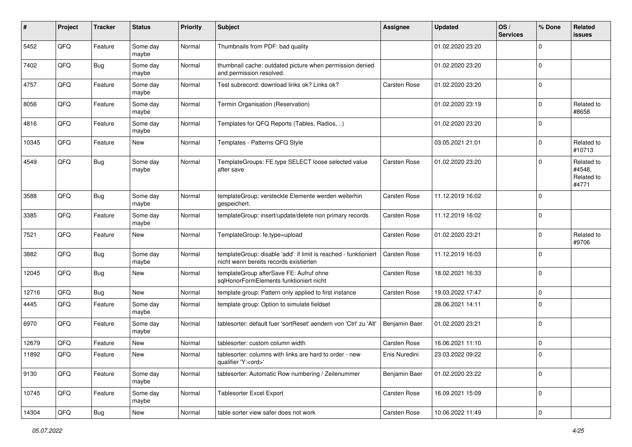| $\pmb{\#}$ | Project | <b>Tracker</b> | <b>Status</b>     | <b>Priority</b> | <b>Subject</b>                                                                                            | <b>Assignee</b> | <b>Updated</b>   | OS/<br><b>Services</b> | % Done      | Related<br><b>issues</b>                    |
|------------|---------|----------------|-------------------|-----------------|-----------------------------------------------------------------------------------------------------------|-----------------|------------------|------------------------|-------------|---------------------------------------------|
| 5452       | QFQ     | Feature        | Some day<br>maybe | Normal          | Thumbnails from PDF: bad quality                                                                          |                 | 01.02.2020 23:20 |                        | O           |                                             |
| 7402       | QFQ     | Bug            | Some day<br>maybe | Normal          | thumbnail cache: outdated picture when permission denied<br>and permission resolved.                      |                 | 01.02.2020 23:20 |                        | $\mathbf 0$ |                                             |
| 4757       | QFQ     | Feature        | Some day<br>maybe | Normal          | Test subrecord: download links ok? Links ok?                                                              | Carsten Rose    | 01.02.2020 23:20 |                        | $\Omega$    |                                             |
| 8056       | QFQ     | Feature        | Some day<br>maybe | Normal          | Termin Organisation (Reservation)                                                                         |                 | 01.02.2020 23:19 |                        | $\Omega$    | Related to<br>#8658                         |
| 4816       | QFQ     | Feature        | Some day<br>maybe | Normal          | Templates for QFQ Reports (Tables, Radios, )                                                              |                 | 01.02.2020 23:20 |                        | $\Omega$    |                                             |
| 10345      | QFQ     | Feature        | New               | Normal          | Templates - Patterns QFQ Style                                                                            |                 | 03.05.2021 21:01 |                        | $\Omega$    | Related to<br>#10713                        |
| 4549       | QFQ     | Bug            | Some day<br>maybe | Normal          | TemplateGroups: FE.type SELECT loose selected value<br>after save                                         | Carsten Rose    | 01.02.2020 23:20 |                        | $\Omega$    | Related to<br>#4548,<br>Related to<br>#4771 |
| 3588       | QFQ     | Bug            | Some day<br>maybe | Normal          | templateGroup: versteckte Elemente werden weiterhin<br>gespeichert.                                       | Carsten Rose    | 11.12.2019 16:02 |                        | $\Omega$    |                                             |
| 3385       | QFQ     | Feature        | Some day<br>maybe | Normal          | templateGroup: insert/update/delete non primary records                                                   | Carsten Rose    | 11.12.2019 16:02 |                        | $\Omega$    |                                             |
| 7521       | QFQ     | Feature        | New               | Normal          | TemplateGroup: fe.type=upload                                                                             | Carsten Rose    | 01.02.2020 23:21 |                        | $\Omega$    | Related to<br>#9706                         |
| 3882       | QFQ     | Bug            | Some day<br>maybe | Normal          | templateGroup: disable 'add' if limit is reached - funktioniert<br>nicht wenn bereits records existierten | Carsten Rose    | 11.12.2019 16:03 |                        | $\mathbf 0$ |                                             |
| 12045      | QFQ     | Bug            | <b>New</b>        | Normal          | templateGroup afterSave FE: Aufruf ohne<br>sglHonorFormElements funktioniert nicht                        | Carsten Rose    | 18.02.2021 16:33 |                        | $\Omega$    |                                             |
| 12716      | QFQ     | Bug            | <b>New</b>        | Normal          | template group: Pattern only applied to first instance                                                    | Carsten Rose    | 19.03.2022 17:47 |                        | $\mathbf 0$ |                                             |
| 4445       | QFQ     | Feature        | Some day<br>maybe | Normal          | template group: Option to simulate fieldset                                                               |                 | 28.06.2021 14:11 |                        | $\Omega$    |                                             |
| 6970       | QFQ     | Feature        | Some day<br>maybe | Normal          | tablesorter: default fuer 'sortReset' aendern von 'Ctrl' zu 'Alt'                                         | Benjamin Baer   | 01.02.2020 23:21 |                        | $\Omega$    |                                             |
| 12679      | QFQ     | Feature        | <b>New</b>        | Normal          | tablesorter: custom column width                                                                          | Carsten Rose    | 16.06.2021 11:10 |                        | $\mathbf 0$ |                                             |
| 11892      | QFQ     | Feature        | New               | Normal          | tablesorter: columns with links are hard to order - new<br>qualifier 'Y: <ord>'</ord>                     | Enis Nuredini   | 23.03.2022 09:22 |                        | $\Omega$    |                                             |
| 9130       | QFQ     | Feature        | Some day<br>maybe | Normal          | tablesorter: Automatic Row numbering / Zeilenummer                                                        | Benjamin Baer   | 01.02.2020 23:22 |                        | $\mathbf 0$ |                                             |
| 10745      | QFQ     | Feature        | Some day<br>maybe | Normal          | <b>Tablesorter Excel Export</b>                                                                           | Carsten Rose    | 16.09.2021 15:09 |                        | 0           |                                             |
| 14304      | QFQ     | Bug            | New               | Normal          | table sorter view safer does not work                                                                     | Carsten Rose    | 10.06.2022 11:49 |                        | 0           |                                             |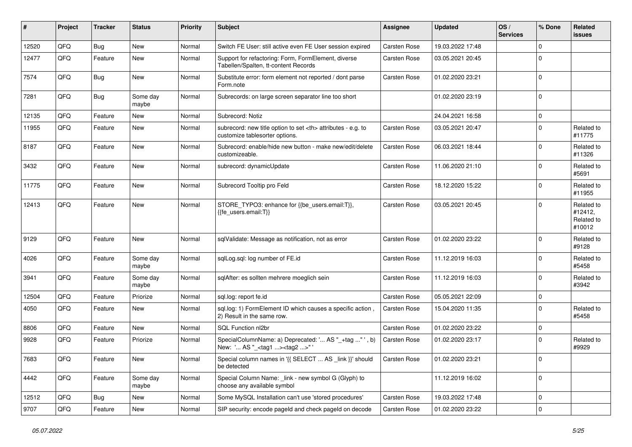| ∦     | Project | <b>Tracker</b> | <b>Status</b>     | <b>Priority</b> | Subject                                                                                              | <b>Assignee</b>                                        | <b>Updated</b>   | OS/<br><b>Services</b> | % Done      | Related<br><b>issues</b>                      |                      |
|-------|---------|----------------|-------------------|-----------------|------------------------------------------------------------------------------------------------------|--------------------------------------------------------|------------------|------------------------|-------------|-----------------------------------------------|----------------------|
| 12520 | QFQ     | Bug            | <b>New</b>        | Normal          | Switch FE User: still active even FE User session expired                                            | <b>Carsten Rose</b>                                    | 19.03.2022 17:48 |                        | $\Omega$    |                                               |                      |
| 12477 | QFQ     | Feature        | New               | Normal          | Support for refactoring: Form, FormElement, diverse<br>Tabellen/Spalten, tt-content Records          | Carsten Rose                                           | 03.05.2021 20:45 |                        | $\Omega$    |                                               |                      |
| 7574  | QFQ     | Bug            | New               | Normal          | Substitute error: form element not reported / dont parse<br>Form.note                                | Carsten Rose                                           | 01.02.2020 23:21 |                        | $\Omega$    |                                               |                      |
| 7281  | QFQ     | Bug            | Some day<br>maybe | Normal          | Subrecords: on large screen separator line too short                                                 |                                                        | 01.02.2020 23:19 |                        | $\Omega$    |                                               |                      |
| 12135 | QFQ     | Feature        | <b>New</b>        | Normal          | Subrecord: Notiz                                                                                     |                                                        | 24.04.2021 16:58 |                        | $\Omega$    |                                               |                      |
| 11955 | QFQ     | Feature        | <b>New</b>        | Normal          | subrecord: new title option to set <th> attributes - e.g. to<br/>customize tablesorter options.</th> | attributes - e.g. to<br>customize tablesorter options. | Carsten Rose     | 03.05.2021 20:47       |             | $\Omega$                                      | Related to<br>#11775 |
| 8187  | QFQ     | Feature        | <b>New</b>        | Normal          | Subrecord: enable/hide new button - make new/edit/delete<br>customizeable.                           | Carsten Rose                                           | 06.03.2021 18:44 |                        | $\Omega$    | Related to<br>#11326                          |                      |
| 3432  | QFQ     | Feature        | New               | Normal          | subrecord: dynamicUpdate                                                                             | Carsten Rose                                           | 11.06.2020 21:10 |                        | $\Omega$    | Related to<br>#5691                           |                      |
| 11775 | QFQ     | Feature        | <b>New</b>        | Normal          | Subrecord Tooltip pro Feld                                                                           | Carsten Rose                                           | 18.12.2020 15:22 |                        | $\Omega$    | Related to<br>#11955                          |                      |
| 12413 | QFQ     | Feature        | <b>New</b>        | Normal          | STORE_TYPO3: enhance for {{be_users.email:T}},<br>{{fe users.email:T}}                               | Carsten Rose                                           | 03.05.2021 20:45 |                        | $\Omega$    | Related to<br>#12412,<br>Related to<br>#10012 |                      |
| 9129  | QFQ     | Feature        | New               | Normal          | sqlValidate: Message as notification, not as error                                                   | Carsten Rose                                           | 01.02.2020 23:22 |                        | $\Omega$    | Related to<br>#9128                           |                      |
| 4026  | QFQ     | Feature        | Some day<br>maybe | Normal          | sqlLog.sql: log number of FE.id                                                                      | Carsten Rose                                           | 11.12.2019 16:03 |                        | $\Omega$    | Related to<br>#5458                           |                      |
| 3941  | QFQ     | Feature        | Some day<br>maybe | Normal          | sqlAfter: es sollten mehrere moeglich sein                                                           | Carsten Rose                                           | 11.12.2019 16:03 |                        | $\Omega$    | Related to<br>#3942                           |                      |
| 12504 | QFQ     | Feature        | Priorize          | Normal          | sql.log: report fe.id                                                                                | Carsten Rose                                           | 05.05.2021 22:09 |                        | $\mathbf 0$ |                                               |                      |
| 4050  | QFQ     | Feature        | New               | Normal          | sql.log: 1) FormElement ID which causes a specific action,<br>2) Result in the same row.             | Carsten Rose                                           | 15.04.2020 11:35 |                        | $\Omega$    | Related to<br>#5458                           |                      |
| 8806  | QFQ     | Feature        | New               | Normal          | SQL Function nl2br                                                                                   | Carsten Rose                                           | 01.02.2020 23:22 |                        | $\Omega$    |                                               |                      |
| 9928  | QFQ     | Feature        | Priorize          | Normal          | SpecialColumnName: a) Deprecated: ' AS "_+tag " ', b)<br>New: ' AS "_ <tag1><tag2>"</tag2></tag1>    | Carsten Rose                                           | 01.02.2020 23:17 |                        | $\Omega$    | Related to<br>#9929                           |                      |
| 7683  | QFG     | Feature        | New               | Normal          | Special column names in '{{ SELECT  AS _link }}' should   Carsten Rose<br>be detected                |                                                        | 01.02.2020 23:21 |                        | 0           |                                               |                      |
| 4442  | QFQ     | Feature        | Some day<br>maybe | Normal          | Special Column Name: _link - new symbol G (Glyph) to<br>choose any available symbol                  |                                                        | 11.12.2019 16:02 |                        | 0           |                                               |                      |
| 12512 | QFQ     | Bug            | New               | Normal          | Some MySQL Installation can't use 'stored procedures'                                                | Carsten Rose                                           | 19.03.2022 17:48 |                        | $\mathbf 0$ |                                               |                      |
| 9707  | QFQ     | Feature        | New               | Normal          | SIP security: encode pageld and check pageld on decode                                               | Carsten Rose                                           | 01.02.2020 23:22 |                        | 0           |                                               |                      |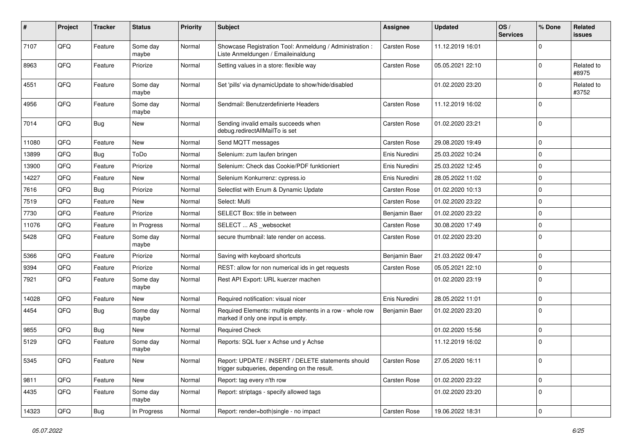| $\sharp$ | Project | <b>Tracker</b> | <b>Status</b>     | <b>Priority</b> | <b>Subject</b>                                                                                     | Assignee            | <b>Updated</b>   | OS/<br><b>Services</b> | % Done      | Related<br>issues   |
|----------|---------|----------------|-------------------|-----------------|----------------------------------------------------------------------------------------------------|---------------------|------------------|------------------------|-------------|---------------------|
| 7107     | QFQ     | Feature        | Some day<br>maybe | Normal          | Showcase Registration Tool: Anmeldung / Administration :<br>Liste Anmeldungen / Emaileinaldung     | Carsten Rose        | 11.12.2019 16:01 |                        | $\Omega$    |                     |
| 8963     | QFQ     | Feature        | Priorize          | Normal          | Setting values in a store: flexible way                                                            | Carsten Rose        | 05.05.2021 22:10 |                        | 0           | Related to<br>#8975 |
| 4551     | QFQ     | Feature        | Some day<br>maybe | Normal          | Set 'pills' via dynamicUpdate to show/hide/disabled                                                |                     | 01.02.2020 23:20 |                        | 0           | Related to<br>#3752 |
| 4956     | QFQ     | Feature        | Some day<br>maybe | Normal          | Sendmail: Benutzerdefinierte Headers                                                               | Carsten Rose        | 11.12.2019 16:02 |                        | 0           |                     |
| 7014     | QFQ     | Bug            | New               | Normal          | Sending invalid emails succeeds when<br>debug.redirectAllMailTo is set                             | Carsten Rose        | 01.02.2020 23:21 |                        | $\mathbf 0$ |                     |
| 11080    | QFQ     | Feature        | <b>New</b>        | Normal          | Send MQTT messages                                                                                 | Carsten Rose        | 29.08.2020 19:49 |                        | $\mathbf 0$ |                     |
| 13899    | QFQ     | Bug            | ToDo              | Normal          | Selenium: zum laufen bringen                                                                       | Enis Nuredini       | 25.03.2022 10:24 |                        | 0           |                     |
| 13900    | QFQ     | Feature        | Priorize          | Normal          | Selenium: Check das Cookie/PDF funktioniert                                                        | Enis Nuredini       | 25.03.2022 12:45 |                        | $\Omega$    |                     |
| 14227    | QFQ     | Feature        | New               | Normal          | Selenium Konkurrenz: cypress.io                                                                    | Enis Nuredini       | 28.05.2022 11:02 |                        | $\Omega$    |                     |
| 7616     | QFQ     | Bug            | Priorize          | Normal          | Selectlist with Enum & Dynamic Update                                                              | Carsten Rose        | 01.02.2020 10:13 |                        | 0           |                     |
| 7519     | QFQ     | Feature        | <b>New</b>        | Normal          | Select: Multi                                                                                      | Carsten Rose        | 01.02.2020 23:22 |                        | $\Omega$    |                     |
| 7730     | QFQ     | Feature        | Priorize          | Normal          | SELECT Box: title in between                                                                       | Benjamin Baer       | 01.02.2020 23:22 |                        | 0           |                     |
| 11076    | QFQ     | Feature        | In Progress       | Normal          | SELECT  AS _websocket                                                                              | Carsten Rose        | 30.08.2020 17:49 |                        | 0           |                     |
| 5428     | QFQ     | Feature        | Some day<br>maybe | Normal          | secure thumbnail: late render on access.                                                           | Carsten Rose        | 01.02.2020 23:20 |                        | 0           |                     |
| 5366     | QFQ     | Feature        | Priorize          | Normal          | Saving with keyboard shortcuts                                                                     | Benjamin Baer       | 21.03.2022 09:47 |                        | 0           |                     |
| 9394     | QFQ     | Feature        | Priorize          | Normal          | REST: allow for non numerical ids in get requests                                                  | Carsten Rose        | 05.05.2021 22:10 |                        | 0           |                     |
| 7921     | QFQ     | Feature        | Some day<br>maybe | Normal          | Rest API Export: URL kuerzer machen                                                                |                     | 01.02.2020 23:19 |                        | $\mathbf 0$ |                     |
| 14028    | QFQ     | Feature        | <b>New</b>        | Normal          | Required notification: visual nicer                                                                | Enis Nuredini       | 28.05.2022 11:01 |                        | 0           |                     |
| 4454     | QFQ     | Bug            | Some day<br>maybe | Normal          | Required Elements: multiple elements in a row - whole row<br>marked if only one input is empty.    | Benjamin Baer       | 01.02.2020 23:20 |                        | $\Omega$    |                     |
| 9855     | QFQ     | Bug            | New               | Normal          | <b>Required Check</b>                                                                              |                     | 01.02.2020 15:56 |                        | 0           |                     |
| 5129     | QFQ     | Feature        | Some day<br>maybe | Normal          | Reports: SQL fuer x Achse und y Achse                                                              |                     | 11.12.2019 16:02 |                        | 0           |                     |
| 5345     | QFQ     | Feature        | New               | Normal          | Report: UPDATE / INSERT / DELETE statements should<br>trigger subqueries, depending on the result. | Carsten Rose        | 27.05.2020 16:11 |                        | 0           |                     |
| 9811     | QFQ     | Feature        | New               | Normal          | Report: tag every n'th row                                                                         | <b>Carsten Rose</b> | 01.02.2020 23:22 |                        | 0           |                     |
| 4435     | QFQ     | Feature        | Some day<br>maybe | Normal          | Report: striptags - specify allowed tags                                                           |                     | 01.02.2020 23:20 |                        | $\mathbf 0$ |                     |
| 14323    | QFQ     | Bug            | In Progress       | Normal          | Report: render=both single - no impact                                                             | Carsten Rose        | 19.06.2022 18:31 |                        | 0           |                     |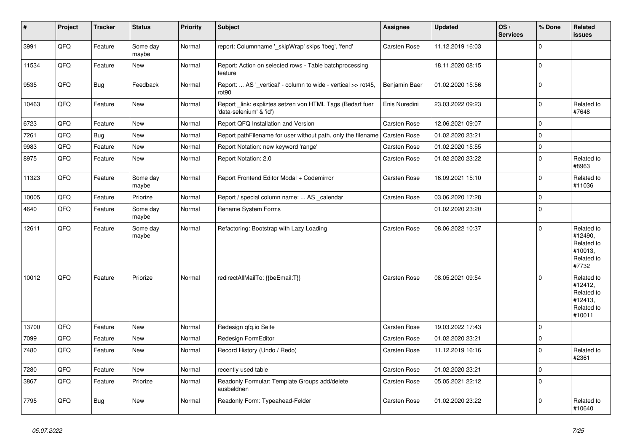| #     | Project | <b>Tracker</b> | <b>Status</b>     | <b>Priority</b> | <b>Subject</b>                                                                      | Assignee            | <b>Updated</b>   | OS/<br><b>Services</b> | % Done      | Related<br><b>issues</b>                                               |
|-------|---------|----------------|-------------------|-----------------|-------------------------------------------------------------------------------------|---------------------|------------------|------------------------|-------------|------------------------------------------------------------------------|
| 3991  | QFQ     | Feature        | Some day<br>maybe | Normal          | report: Columnname '_skipWrap' skips 'fbeg', 'fend'                                 | Carsten Rose        | 11.12.2019 16:03 |                        | $\Omega$    |                                                                        |
| 11534 | QFQ     | Feature        | <b>New</b>        | Normal          | Report: Action on selected rows - Table batchprocessing<br>feature                  |                     | 18.11.2020 08:15 |                        | $\Omega$    |                                                                        |
| 9535  | QFQ     | Bug            | Feedback          | Normal          | Report:  AS '_vertical' - column to wide - vertical >> rot45,<br>rot <sub>90</sub>  | Benjamin Baer       | 01.02.2020 15:56 |                        | $\mathbf 0$ |                                                                        |
| 10463 | QFQ     | Feature        | <b>New</b>        | Normal          | Report_link: expliztes setzen von HTML Tags (Bedarf fuer<br>'data-selenium' & 'id') | Enis Nuredini       | 23.03.2022 09:23 |                        | $\Omega$    | Related to<br>#7648                                                    |
| 6723  | QFQ     | Feature        | <b>New</b>        | Normal          | Report QFQ Installation and Version                                                 | Carsten Rose        | 12.06.2021 09:07 |                        | $\mathbf 0$ |                                                                        |
| 7261  | QFQ     | <b>Bug</b>     | <b>New</b>        | Normal          | Report pathFilename for user without path, only the filename                        | Carsten Rose        | 01.02.2020 23:21 |                        | $\mathbf 0$ |                                                                        |
| 9983  | QFQ     | Feature        | <b>New</b>        | Normal          | Report Notation: new keyword 'range'                                                | Carsten Rose        | 01.02.2020 15:55 |                        | $\mathbf 0$ |                                                                        |
| 8975  | QFQ     | Feature        | <b>New</b>        | Normal          | Report Notation: 2.0                                                                | Carsten Rose        | 01.02.2020 23:22 |                        | $\Omega$    | Related to<br>#8963                                                    |
| 11323 | QFQ     | Feature        | Some day<br>maybe | Normal          | Report Frontend Editor Modal + Codemirror                                           | <b>Carsten Rose</b> | 16.09.2021 15:10 |                        | $\Omega$    | Related to<br>#11036                                                   |
| 10005 | QFQ     | Feature        | Priorize          | Normal          | Report / special column name:  AS _calendar                                         | Carsten Rose        | 03.06.2020 17:28 |                        | $\mathbf 0$ |                                                                        |
| 4640  | QFQ     | Feature        | Some day<br>maybe | Normal          | Rename System Forms                                                                 |                     | 01.02.2020 23:20 |                        | $\Omega$    |                                                                        |
| 12611 | QFQ     | Feature        | Some day<br>maybe | Normal          | Refactoring: Bootstrap with Lazy Loading                                            | <b>Carsten Rose</b> | 08.06.2022 10:37 |                        | $\Omega$    | Related to<br>#12490,<br>Related to<br>#10013,<br>Related to<br>#7732  |
| 10012 | QFQ     | Feature        | Priorize          | Normal          | redirectAllMailTo: {{beEmail:T}}                                                    | Carsten Rose        | 08.05.2021 09:54 |                        | $\Omega$    | Related to<br>#12412,<br>Related to<br>#12413,<br>Related to<br>#10011 |
| 13700 | QFQ     | Feature        | <b>New</b>        | Normal          | Redesign qfq.io Seite                                                               | Carsten Rose        | 19.03.2022 17:43 |                        | $\mathbf 0$ |                                                                        |
| 7099  | QFQ     | Feature        | <b>New</b>        | Normal          | Redesign FormEditor                                                                 | <b>Carsten Rose</b> | 01.02.2020 23:21 |                        | $\mathbf 0$ |                                                                        |
| 7480  | QFQ     | Feature        | <b>New</b>        | Normal          | Record History (Undo / Redo)                                                        | Carsten Rose        | 11.12.2019 16:16 |                        | $\Omega$    | Related to<br>#2361                                                    |
| 7280  | QFQ     | Feature        | <b>New</b>        | Normal          | recently used table                                                                 | Carsten Rose        | 01.02.2020 23:21 |                        | $\mathbf 0$ |                                                                        |
| 3867  | QFQ     | Feature        | Priorize          | Normal          | Readonly Formular: Template Groups add/delete<br>ausbeldnen                         | Carsten Rose        | 05.05.2021 22:12 |                        | $\Omega$    |                                                                        |
| 7795  | QFQ     | Bug            | <b>New</b>        | Normal          | Readonly Form: Typeahead-Felder                                                     | Carsten Rose        | 01.02.2020 23:22 |                        | $\Omega$    | Related to<br>#10640                                                   |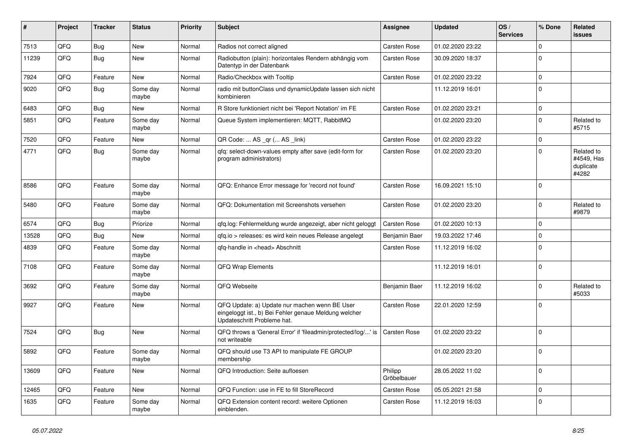| ∦     | Project | <b>Tracker</b> | <b>Status</b>     | <b>Priority</b> | <b>Subject</b>                                                                                                                        | Assignee               | <b>Updated</b>   | OS/<br><b>Services</b> | % Done      | Related<br>issues                              |
|-------|---------|----------------|-------------------|-----------------|---------------------------------------------------------------------------------------------------------------------------------------|------------------------|------------------|------------------------|-------------|------------------------------------------------|
| 7513  | QFQ     | Bug            | New               | Normal          | Radios not correct aligned                                                                                                            | Carsten Rose           | 01.02.2020 23:22 |                        | $\Omega$    |                                                |
| 11239 | QFQ     | Bug            | <b>New</b>        | Normal          | Radiobutton (plain): horizontales Rendern abhängig vom<br>Datentyp in der Datenbank                                                   | <b>Carsten Rose</b>    | 30.09.2020 18:37 |                        | $\Omega$    |                                                |
| 7924  | QFQ     | Feature        | <b>New</b>        | Normal          | Radio/Checkbox with Tooltip                                                                                                           | Carsten Rose           | 01.02.2020 23:22 |                        | 0           |                                                |
| 9020  | QFQ     | Bug            | Some day<br>maybe | Normal          | radio mit buttonClass und dynamicUpdate lassen sich nicht<br>kombinieren                                                              |                        | 11.12.2019 16:01 |                        | $\Omega$    |                                                |
| 6483  | QFQ     | Bug            | New               | Normal          | R Store funktioniert nicht bei 'Report Notation' im FE                                                                                | <b>Carsten Rose</b>    | 01.02.2020 23:21 |                        | $\mathbf 0$ |                                                |
| 5851  | QFQ     | Feature        | Some day<br>maybe | Normal          | Queue System implementieren: MQTT, RabbitMQ                                                                                           |                        | 01.02.2020 23:20 |                        | $\Omega$    | Related to<br>#5715                            |
| 7520  | QFQ     | Feature        | New               | Normal          | QR Code:  AS _qr ( AS _link)                                                                                                          | Carsten Rose           | 01.02.2020 23:22 |                        | 0           |                                                |
| 4771  | QFQ     | <b>Bug</b>     | Some day<br>maybe | Normal          | qfq: select-down-values empty after save (edit-form for<br>program administrators)                                                    | Carsten Rose           | 01.02.2020 23:20 |                        | $\Omega$    | Related to<br>#4549, Has<br>duplicate<br>#4282 |
| 8586  | QFQ     | Feature        | Some day<br>maybe | Normal          | QFQ: Enhance Error message for 'record not found'                                                                                     | Carsten Rose           | 16.09.2021 15:10 |                        | $\Omega$    |                                                |
| 5480  | QFQ     | Feature        | Some day<br>maybe | Normal          | QFQ: Dokumentation mit Screenshots versehen                                                                                           | Carsten Rose           | 01.02.2020 23:20 |                        | $\Omega$    | Related to<br>#9879                            |
| 6574  | QFQ     | Bug            | Priorize          | Normal          | qfq.log: Fehlermeldung wurde angezeigt, aber nicht geloggt                                                                            | Carsten Rose           | 01.02.2020 10:13 |                        | $\Omega$    |                                                |
| 13528 | QFQ     | Bug            | <b>New</b>        | Normal          | qfq.io > releases: es wird kein neues Release angelegt                                                                                | Benjamin Baer          | 19.03.2022 17:46 |                        | 0           |                                                |
| 4839  | QFQ     | Feature        | Some day<br>maybe | Normal          | qfq-handle in <head> Abschnitt</head>                                                                                                 | <b>Carsten Rose</b>    | 11.12.2019 16:02 |                        | $\Omega$    |                                                |
| 7108  | QFQ     | Feature        | Some day<br>maybe | Normal          | QFQ Wrap Elements                                                                                                                     |                        | 11.12.2019 16:01 |                        | $\Omega$    |                                                |
| 3692  | QFQ     | Feature        | Some day<br>maybe | Normal          | QFQ Webseite                                                                                                                          | Benjamin Baer          | 11.12.2019 16:02 |                        | $\Omega$    | Related to<br>#5033                            |
| 9927  | QFQ     | Feature        | New               | Normal          | QFQ Update: a) Update nur machen wenn BE User<br>eingeloggt ist., b) Bei Fehler genaue Meldung welcher<br>Updateschritt Probleme hat. | Carsten Rose           | 22.01.2020 12:59 |                        | 0           |                                                |
| 7524  | QFQ     | Bug            | <b>New</b>        | Normal          | QFQ throws a 'General Error' if 'fileadmin/protected/log/' is<br>not writeable                                                        | Carsten Rose           | 01.02.2020 23:22 |                        | $\Omega$    |                                                |
| 5892  | QFQ     | Feature        | Some day<br>maybe | Normal          | QFQ should use T3 API to manipulate FE GROUP<br>membership                                                                            |                        | 01.02.2020 23:20 |                        | $\mathbf 0$ |                                                |
| 13609 | QFQ     | Feature        | New               | Normal          | QFQ Introduction: Seite aufloesen                                                                                                     | Philipp<br>Gröbelbauer | 28.05.2022 11:02 |                        | $\mathbf 0$ |                                                |
| 12465 | QFQ     | Feature        | New               | Normal          | QFQ Function: use in FE to fill StoreRecord                                                                                           | Carsten Rose           | 05.05.2021 21:58 |                        | $\mathbf 0$ |                                                |
| 1635  | QFQ     | Feature        | Some day<br>maybe | Normal          | QFQ Extension content record: weitere Optionen<br>einblenden.                                                                         | Carsten Rose           | 11.12.2019 16:03 |                        | $\mathbf 0$ |                                                |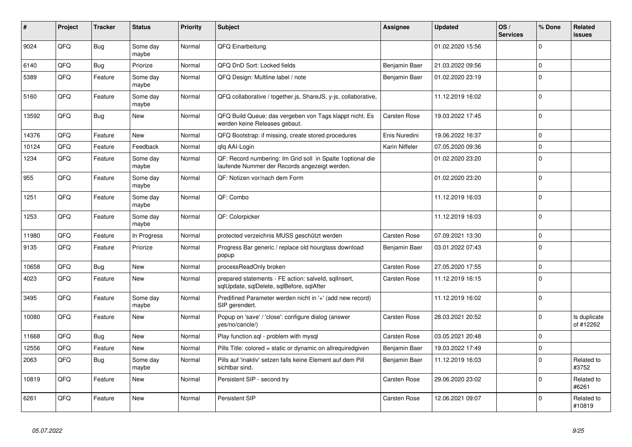| #     | Project | <b>Tracker</b> | <b>Status</b>     | <b>Priority</b> | <b>Subject</b>                                                                                               | Assignee            | <b>Updated</b>   | OS/<br><b>Services</b> | % Done      | Related<br><b>issues</b>  |
|-------|---------|----------------|-------------------|-----------------|--------------------------------------------------------------------------------------------------------------|---------------------|------------------|------------------------|-------------|---------------------------|
| 9024  | QFQ     | Bug            | Some day<br>maybe | Normal          | QFQ Einarbeitung                                                                                             |                     | 01.02.2020 15:56 |                        | $\Omega$    |                           |
| 6140  | QFQ     | Bug            | Priorize          | Normal          | QFQ DnD Sort: Locked fields                                                                                  | Benjamin Baer       | 21.03.2022 09:56 |                        | $\Omega$    |                           |
| 5389  | QFQ     | Feature        | Some day<br>maybe | Normal          | QFQ Design: Multline label / note                                                                            | Benjamin Baer       | 01.02.2020 23:19 |                        | $\Omega$    |                           |
| 5160  | QFQ     | Feature        | Some day<br>maybe | Normal          | QFQ collaborative / together.js, ShareJS, y-js, collaborative,                                               |                     | 11.12.2019 16:02 |                        | $\Omega$    |                           |
| 13592 | QFQ     | Bug            | <b>New</b>        | Normal          | QFQ Build Queue: das vergeben von Tags klappt nicht. Es<br>werden keine Releases gebaut.                     | <b>Carsten Rose</b> | 19.03.2022 17:45 |                        | $\Omega$    |                           |
| 14376 | QFQ     | Feature        | <b>New</b>        | Normal          | QFQ Bootstrap: if missing, create stored procedures                                                          | Enis Nuredini       | 19.06.2022 16:37 |                        | $\Omega$    |                           |
| 10124 | QFQ     | Feature        | Feedback          | Normal          | qfq AAI-Login                                                                                                | Karin Niffeler      | 07.05.2020 09:36 |                        | $\Omega$    |                           |
| 1234  | QFQ     | Feature        | Some day<br>maybe | Normal          | QF: Record numbering: Im Grid soll in Spalte 1 optional die<br>laufende Nummer der Records angezeigt werden. |                     | 01.02.2020 23:20 |                        | $\Omega$    |                           |
| 955   | QFQ     | Feature        | Some day<br>maybe | Normal          | QF: Notizen vor/nach dem Form                                                                                |                     | 01.02.2020 23:20 |                        | $\Omega$    |                           |
| 1251  | QFQ     | Feature        | Some day<br>maybe | Normal          | QF: Combo                                                                                                    |                     | 11.12.2019 16:03 |                        | $\Omega$    |                           |
| 1253  | QFQ     | Feature        | Some day<br>maybe | Normal          | QF: Colorpicker                                                                                              |                     | 11.12.2019 16:03 |                        | $\Omega$    |                           |
| 11980 | QFQ     | Feature        | In Progress       | Normal          | protected verzeichnis MUSS geschützt werden                                                                  | Carsten Rose        | 07.09.2021 13:30 |                        | $\mathbf 0$ |                           |
| 9135  | QFQ     | Feature        | Priorize          | Normal          | Progress Bar generic / replace old hourglass download<br>popup                                               | Benjamin Baer       | 03.01.2022 07:43 |                        | $\Omega$    |                           |
| 10658 | QFQ     | Bug            | <b>New</b>        | Normal          | processReadOnly broken                                                                                       | Carsten Rose        | 27.05.2020 17:55 |                        | $\Omega$    |                           |
| 4023  | QFQ     | Feature        | <b>New</b>        | Normal          | prepared statements - FE action: salveld, sqllnsert,<br>sqlUpdate, sqlDelete, sqlBefore, sqlAfter            | Carsten Rose        | 11.12.2019 16:15 |                        | $\Omega$    |                           |
| 3495  | QFQ     | Feature        | Some day<br>maybe | Normal          | Predifined Parameter werden nicht in '+' (add new record)<br>SIP gerendert.                                  |                     | 11.12.2019 16:02 |                        | $\Omega$    |                           |
| 10080 | QFQ     | Feature        | <b>New</b>        | Normal          | Popup on 'save' / 'close': configure dialog (answer<br>yes/no/cancle/)                                       | Carsten Rose        | 28.03.2021 20:52 |                        | $\Omega$    | Is duplicate<br>of #12262 |
| 11668 | QFQ     | Bug            | <b>New</b>        | Normal          | Play function.sql - problem with mysql                                                                       | Carsten Rose        | 03.05.2021 20:48 |                        | $\Omega$    |                           |
| 12556 | QFQ     | Feature        | <b>New</b>        | Normal          | Pills Title: colored = static or dynamic on allrequiredgiven                                                 | Benjamin Baer       | 19.03.2022 17:49 |                        | $\Omega$    |                           |
| 2063  | QFQ     | Bug            | Some day<br>maybe | Normal          | Pills auf 'inaktiv' setzen falls keine Element auf dem Pill<br>sichtbar sind.                                | Benjamin Baer       | 11.12.2019 16:03 |                        | $\Omega$    | Related to<br>#3752       |
| 10819 | QFQ     | Feature        | <b>New</b>        | Normal          | Persistent SIP - second try                                                                                  | <b>Carsten Rose</b> | 29.06.2020 23:02 |                        | 0           | Related to<br>#6261       |
| 6261  | QFQ     | Feature        | <b>New</b>        | Normal          | Persistent SIP                                                                                               | Carsten Rose        | 12.06.2021 09:07 |                        | $\Omega$    | Related to<br>#10819      |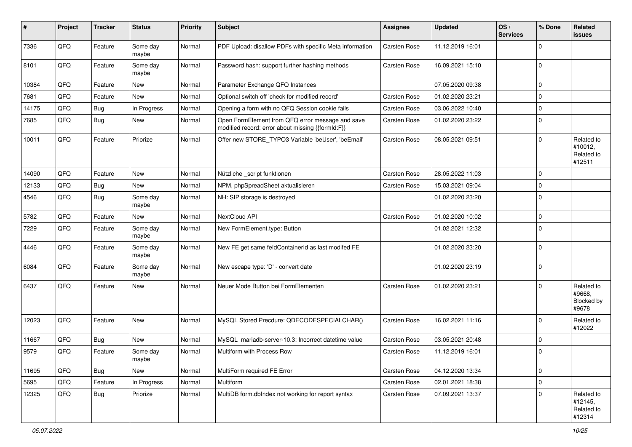| ∦     | Project | <b>Tracker</b> | <b>Status</b>     | <b>Priority</b> | <b>Subject</b>                                                                                        | Assignee     | <b>Updated</b>   | OS/<br><b>Services</b> | % Done      | Related<br>issues                             |
|-------|---------|----------------|-------------------|-----------------|-------------------------------------------------------------------------------------------------------|--------------|------------------|------------------------|-------------|-----------------------------------------------|
| 7336  | QFQ     | Feature        | Some day<br>maybe | Normal          | PDF Upload: disallow PDFs with specific Meta information                                              | Carsten Rose | 11.12.2019 16:01 |                        | $\Omega$    |                                               |
| 8101  | QFQ     | Feature        | Some day<br>maybe | Normal          | Password hash: support further hashing methods                                                        | Carsten Rose | 16.09.2021 15:10 |                        | $\Omega$    |                                               |
| 10384 | QFQ     | Feature        | New               | Normal          | Parameter Exchange QFQ Instances                                                                      |              | 07.05.2020 09:38 |                        | $\Omega$    |                                               |
| 7681  | QFQ     | Feature        | New               | Normal          | Optional switch off 'check for modified record'                                                       | Carsten Rose | 01.02.2020 23:21 |                        | $\mathbf 0$ |                                               |
| 14175 | QFQ     | Bug            | In Progress       | Normal          | Opening a form with no QFQ Session cookie fails                                                       | Carsten Rose | 03.06.2022 10:40 |                        | $\mathbf 0$ |                                               |
| 7685  | QFQ     | Bug            | New               | Normal          | Open FormElement from QFQ error message and save<br>modified record: error about missing {{formId:F}} | Carsten Rose | 01.02.2020 23:22 |                        | 0           |                                               |
| 10011 | QFQ     | Feature        | Priorize          | Normal          | Offer new STORE_TYPO3 Variable 'beUser', 'beEmail'                                                    | Carsten Rose | 08.05.2021 09:51 |                        | $\Omega$    | Related to<br>#10012,<br>Related to<br>#12511 |
| 14090 | QFQ     | Feature        | <b>New</b>        | Normal          | Nützliche _script funktionen                                                                          | Carsten Rose | 28.05.2022 11:03 |                        | $\Omega$    |                                               |
| 12133 | QFQ     | Bug            | New               | Normal          | NPM, phpSpreadSheet aktualisieren                                                                     | Carsten Rose | 15.03.2021 09:04 |                        | $\mathbf 0$ |                                               |
| 4546  | QFQ     | Bug            | Some day<br>maybe | Normal          | NH: SIP storage is destroyed                                                                          |              | 01.02.2020 23:20 |                        | $\Omega$    |                                               |
| 5782  | QFQ     | Feature        | <b>New</b>        | Normal          | NextCloud API                                                                                         | Carsten Rose | 01.02.2020 10:02 |                        | $\mathbf 0$ |                                               |
| 7229  | QFQ     | Feature        | Some day<br>maybe | Normal          | New FormElement.type: Button                                                                          |              | 01.02.2021 12:32 |                        | $\Omega$    |                                               |
| 4446  | QFQ     | Feature        | Some day<br>maybe | Normal          | New FE get same feldContainerId as last modifed FE                                                    |              | 01.02.2020 23:20 |                        | $\mathbf 0$ |                                               |
| 6084  | QFQ     | Feature        | Some day<br>maybe | Normal          | New escape type: 'D' - convert date                                                                   |              | 01.02.2020 23:19 |                        | $\mathbf 0$ |                                               |
| 6437  | QFQ     | Feature        | New               | Normal          | Neuer Mode Button bei FormElementen                                                                   | Carsten Rose | 01.02.2020 23:21 |                        | $\Omega$    | Related to<br>#9668,<br>Blocked by<br>#9678   |
| 12023 | QFQ     | Feature        | <b>New</b>        | Normal          | MySQL Stored Precdure: QDECODESPECIALCHAR()                                                           | Carsten Rose | 16.02.2021 11:16 |                        | $\Omega$    | Related to<br>#12022                          |
| 11667 | QFQ     | Bug            | New               | Normal          | MySQL mariadb-server-10.3: Incorrect datetime value                                                   | Carsten Rose | 03.05.2021 20:48 |                        | $\mathbf 0$ |                                               |
| 9579  | QFQ     | Feature        | Some day<br>maybe | Normal          | Multiform with Process Row                                                                            | Carsten Rose | 11.12.2019 16:01 |                        | $\Omega$    |                                               |
| 11695 | QFQ     | Bug            | New               | Normal          | MultiForm required FE Error                                                                           | Carsten Rose | 04.12.2020 13:34 |                        | $\mathbf 0$ |                                               |
| 5695  | QFQ     | Feature        | In Progress       | Normal          | Multiform                                                                                             | Carsten Rose | 02.01.2021 18:38 |                        | $\mathbf 0$ |                                               |
| 12325 | QFQ     | <b>Bug</b>     | Priorize          | Normal          | MultiDB form.dblndex not working for report syntax                                                    | Carsten Rose | 07.09.2021 13:37 |                        | $\Omega$    | Related to<br>#12145,<br>Related to<br>#12314 |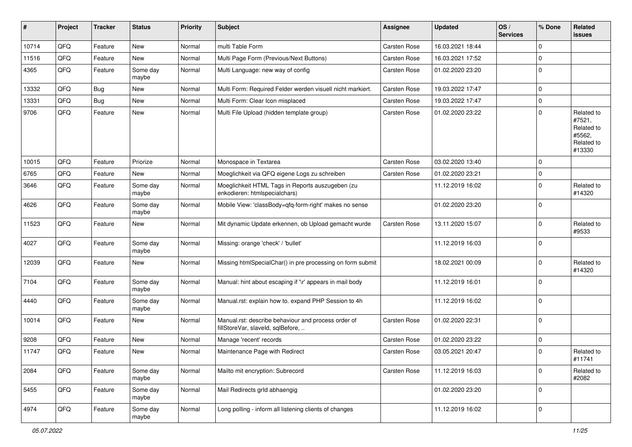| #     | Project | <b>Tracker</b> | <b>Status</b>     | <b>Priority</b> | <b>Subject</b>                                                                           | Assignee            | <b>Updated</b>   | OS/<br><b>Services</b> | % Done      | Related<br><b>issues</b>                                             |
|-------|---------|----------------|-------------------|-----------------|------------------------------------------------------------------------------------------|---------------------|------------------|------------------------|-------------|----------------------------------------------------------------------|
| 10714 | QFQ     | Feature        | New               | Normal          | multi Table Form                                                                         | Carsten Rose        | 16.03.2021 18:44 |                        | $\mathbf 0$ |                                                                      |
| 11516 | QFQ     | Feature        | <b>New</b>        | Normal          | Multi Page Form (Previous/Next Buttons)                                                  | Carsten Rose        | 16.03.2021 17:52 |                        | $\mathbf 0$ |                                                                      |
| 4365  | QFQ     | Feature        | Some day<br>maybe | Normal          | Multi Language: new way of config                                                        | <b>Carsten Rose</b> | 01.02.2020 23:20 |                        | $\mathbf 0$ |                                                                      |
| 13332 | QFQ     | <b>Bug</b>     | <b>New</b>        | Normal          | Multi Form: Required Felder werden visuell nicht markiert.                               | Carsten Rose        | 19.03.2022 17:47 |                        | $\mathbf 0$ |                                                                      |
| 13331 | QFQ     | Bug            | <b>New</b>        | Normal          | Multi Form: Clear Icon misplaced                                                         | Carsten Rose        | 19.03.2022 17:47 |                        | $\mathbf 0$ |                                                                      |
| 9706  | QFQ     | Feature        | New               | Normal          | Multi File Upload (hidden template group)                                                | Carsten Rose        | 01.02.2020 23:22 |                        | $\mathbf 0$ | Related to<br>#7521,<br>Related to<br>#5562,<br>Related to<br>#13330 |
| 10015 | QFQ     | Feature        | Priorize          | Normal          | Monospace in Textarea                                                                    | Carsten Rose        | 03.02.2020 13:40 |                        | $\mathbf 0$ |                                                                      |
| 6765  | QFQ     | Feature        | New               | Normal          | Moeglichkeit via QFQ eigene Logs zu schreiben                                            | Carsten Rose        | 01.02.2020 23:21 |                        | $\mathbf 0$ |                                                                      |
| 3646  | QFQ     | Feature        | Some day<br>maybe | Normal          | Moeglichkeit HTML Tags in Reports auszugeben (zu<br>enkodieren: htmlspecialchars)        |                     | 11.12.2019 16:02 |                        | $\mathbf 0$ | Related to<br>#14320                                                 |
| 4626  | QFQ     | Feature        | Some day<br>maybe | Normal          | Mobile View: 'classBody=qfq-form-right' makes no sense                                   |                     | 01.02.2020 23:20 |                        | $\mathbf 0$ |                                                                      |
| 11523 | QFQ     | Feature        | New               | Normal          | Mit dynamic Update erkennen, ob Upload gemacht wurde                                     | Carsten Rose        | 13.11.2020 15:07 |                        | $\mathbf 0$ | Related to<br>#9533                                                  |
| 4027  | QFQ     | Feature        | Some day<br>maybe | Normal          | Missing: orange 'check' / 'bullet'                                                       |                     | 11.12.2019 16:03 |                        | $\mathbf 0$ |                                                                      |
| 12039 | QFQ     | Feature        | <b>New</b>        | Normal          | Missing htmlSpecialChar() in pre processing on form submit                               |                     | 18.02.2021 00:09 |                        | $\mathbf 0$ | Related to<br>#14320                                                 |
| 7104  | QFQ     | Feature        | Some day<br>maybe | Normal          | Manual: hint about escaping if '\r' appears in mail body                                 |                     | 11.12.2019 16:01 |                        | $\mathbf 0$ |                                                                      |
| 4440  | QFQ     | Feature        | Some day<br>maybe | Normal          | Manual.rst: explain how to. expand PHP Session to 4h                                     |                     | 11.12.2019 16:02 |                        | $\mathbf 0$ |                                                                      |
| 10014 | QFQ     | Feature        | <b>New</b>        | Normal          | Manual.rst: describe behaviour and process order of<br>fillStoreVar, slaveId, sqlBefore, | Carsten Rose        | 01.02.2020 22:31 |                        | $\mathbf 0$ |                                                                      |
| 9208  | QFQ     | Feature        | <b>New</b>        | Normal          | Manage 'recent' records                                                                  | Carsten Rose        | 01.02.2020 23:22 |                        | $\mathbf 0$ |                                                                      |
| 11747 | QFQ     | Feature        | <b>New</b>        | Normal          | Maintenance Page with Redirect                                                           | Carsten Rose        | 03.05.2021 20:47 |                        | $\mathbf 0$ | Related to<br>#11741                                                 |
| 2084  | QFQ     | Feature        | Some day<br>maybe | Normal          | Mailto mit encryption: Subrecord                                                         | Carsten Rose        | 11.12.2019 16:03 |                        | $\mathbf 0$ | Related to<br>#2082                                                  |
| 5455  | QFQ     | Feature        | Some day<br>maybe | Normal          | Mail Redirects grld abhaengig                                                            |                     | 01.02.2020 23:20 |                        | $\mathbf 0$ |                                                                      |
| 4974  | QFQ     | Feature        | Some day<br>maybe | Normal          | Long polling - inform all listening clients of changes                                   |                     | 11.12.2019 16:02 |                        | $\mathbf 0$ |                                                                      |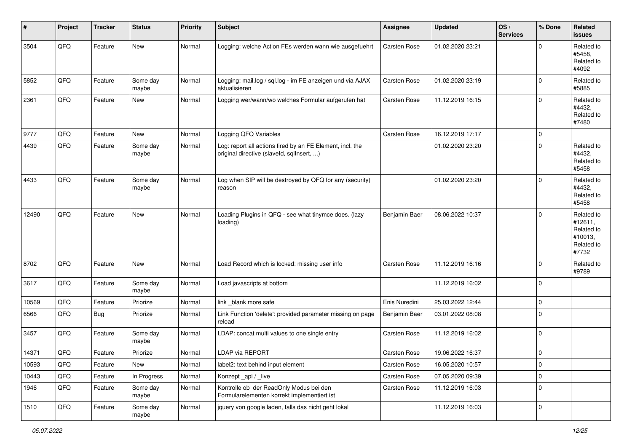| #     | Project | <b>Tracker</b> | <b>Status</b>     | <b>Priority</b> | <b>Subject</b>                                                                                         | <b>Assignee</b> | <b>Updated</b>   | OS/<br><b>Services</b> | % Done      | <b>Related</b><br><b>issues</b>                                       |
|-------|---------|----------------|-------------------|-----------------|--------------------------------------------------------------------------------------------------------|-----------------|------------------|------------------------|-------------|-----------------------------------------------------------------------|
| 3504  | QFQ     | Feature        | <b>New</b>        | Normal          | Logging: welche Action FEs werden wann wie ausgefuehrt                                                 | Carsten Rose    | 01.02.2020 23:21 |                        | $\Omega$    | Related to<br>#5458,<br>Related to<br>#4092                           |
| 5852  | QFQ     | Feature        | Some day<br>maybe | Normal          | Logging: mail.log / sql.log - im FE anzeigen und via AJAX<br>aktualisieren                             | Carsten Rose    | 01.02.2020 23:19 |                        | $\Omega$    | Related to<br>#5885                                                   |
| 2361  | QFQ     | Feature        | <b>New</b>        | Normal          | Logging wer/wann/wo welches Formular aufgerufen hat                                                    | Carsten Rose    | 11.12.2019 16:15 |                        | $\mathbf 0$ | Related to<br>#4432,<br>Related to<br>#7480                           |
| 9777  | QFQ     | Feature        | <b>New</b>        | Normal          | Logging QFQ Variables                                                                                  | Carsten Rose    | 16.12.2019 17:17 |                        | $\Omega$    |                                                                       |
| 4439  | QFQ     | Feature        | Some day<br>maybe | Normal          | Log: report all actions fired by an FE Element, incl. the<br>original directive (slaveld, sqlInsert, ) |                 | 01.02.2020 23:20 |                        | $\Omega$    | Related to<br>#4432,<br>Related to<br>#5458                           |
| 4433  | QFQ     | Feature        | Some day<br>maybe | Normal          | Log when SIP will be destroyed by QFQ for any (security)<br>reason                                     |                 | 01.02.2020 23:20 |                        | $\Omega$    | Related to<br>#4432,<br>Related to<br>#5458                           |
| 12490 | QFQ     | Feature        | <b>New</b>        | Normal          | Loading Plugins in QFQ - see what tinymce does. (lazy<br>loading)                                      | Benjamin Baer   | 08.06.2022 10:37 |                        | $\mathbf 0$ | Related to<br>#12611,<br>Related to<br>#10013,<br>Related to<br>#7732 |
| 8702  | QFQ     | Feature        | New               | Normal          | Load Record which is locked: missing user info                                                         | Carsten Rose    | 11.12.2019 16:16 |                        | $\mathbf 0$ | Related to<br>#9789                                                   |
| 3617  | QFQ     | Feature        | Some day<br>maybe | Normal          | Load javascripts at bottom                                                                             |                 | 11.12.2019 16:02 |                        | $\Omega$    |                                                                       |
| 10569 | QFQ     | Feature        | Priorize          | Normal          | link _blank more safe                                                                                  | Enis Nuredini   | 25.03.2022 12:44 |                        | 0           |                                                                       |
| 6566  | QFQ     | Bug            | Priorize          | Normal          | Link Function 'delete': provided parameter missing on page<br>reload                                   | Benjamin Baer   | 03.01.2022 08:08 |                        | $\mathbf 0$ |                                                                       |
| 3457  | QFQ     | Feature        | Some day<br>maybe | Normal          | LDAP: concat multi values to one single entry                                                          | Carsten Rose    | 11.12.2019 16:02 |                        | $\mathbf 0$ |                                                                       |
| 14371 | QFQ     | Feature        | Priorize          | Normal          | <b>LDAP via REPORT</b>                                                                                 | Carsten Rose    | 19.06.2022 16:37 |                        | $\mathbf 0$ |                                                                       |
| 10593 | QFG     | Feature        | New               | Normal          | label2: text behind input element                                                                      | Carsten Rose    | 16.05.2020 10:57 |                        | 0           |                                                                       |
| 10443 | QFQ     | Feature        | In Progress       | Normal          | Konzept_api / _live                                                                                    | Carsten Rose    | 07.05.2020 09:39 |                        | $\mathbf 0$ |                                                                       |
| 1946  | QFQ     | Feature        | Some day<br>maybe | Normal          | Kontrolle ob der ReadOnly Modus bei den<br>Formularelementen korrekt implementiert ist                 | Carsten Rose    | 11.12.2019 16:03 |                        | 0           |                                                                       |
| 1510  | QFG     | Feature        | Some day<br>maybe | Normal          | jquery von google laden, falls das nicht geht lokal                                                    |                 | 11.12.2019 16:03 |                        | 0           |                                                                       |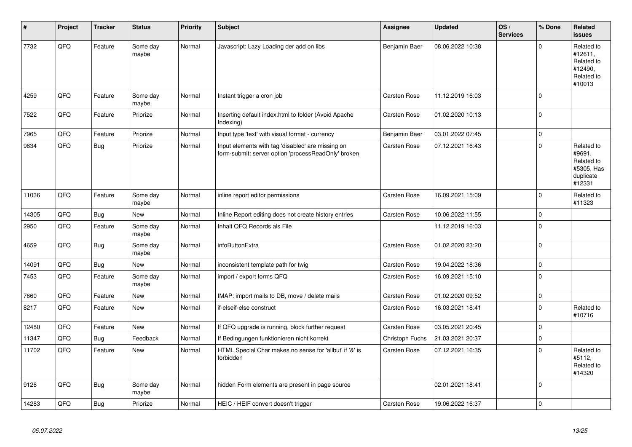| #     | Project | <b>Tracker</b> | <b>Status</b>     | <b>Priority</b> | <b>Subject</b>                                                                                           | Assignee            | <b>Updated</b>   | OS/<br><b>Services</b> | % Done      | Related<br><b>issues</b>                                                |
|-------|---------|----------------|-------------------|-----------------|----------------------------------------------------------------------------------------------------------|---------------------|------------------|------------------------|-------------|-------------------------------------------------------------------------|
| 7732  | QFQ     | Feature        | Some day<br>maybe | Normal          | Javascript: Lazy Loading der add on libs                                                                 | Benjamin Baer       | 08.06.2022 10:38 |                        | $\Omega$    | Related to<br>#12611,<br>Related to<br>#12490,<br>Related to<br>#10013  |
| 4259  | QFQ     | Feature        | Some day<br>maybe | Normal          | Instant trigger a cron job                                                                               | <b>Carsten Rose</b> | 11.12.2019 16:03 |                        | $\Omega$    |                                                                         |
| 7522  | QFQ     | Feature        | Priorize          | Normal          | Inserting default index.html to folder (Avoid Apache<br>Indexing)                                        | <b>Carsten Rose</b> | 01.02.2020 10:13 |                        | $\Omega$    |                                                                         |
| 7965  | QFQ     | Feature        | Priorize          | Normal          | Input type 'text' with visual format - currency                                                          | Benjamin Baer       | 03.01.2022 07:45 |                        | $\mathbf 0$ |                                                                         |
| 9834  | QFQ     | Bug            | Priorize          | Normal          | Input elements with tag 'disabled' are missing on<br>form-submit: server option 'processReadOnly' broken | <b>Carsten Rose</b> | 07.12.2021 16:43 |                        | $\Omega$    | Related to<br>#9691,<br>Related to<br>#5305, Has<br>duplicate<br>#12331 |
| 11036 | QFQ     | Feature        | Some day<br>maybe | Normal          | inline report editor permissions                                                                         | Carsten Rose        | 16.09.2021 15:09 |                        | $\mathbf 0$ | Related to<br>#11323                                                    |
| 14305 | QFQ     | Bug            | <b>New</b>        | Normal          | Inline Report editing does not create history entries                                                    | Carsten Rose        | 10.06.2022 11:55 |                        | $\mathbf 0$ |                                                                         |
| 2950  | QFQ     | Feature        | Some day<br>maybe | Normal          | Inhalt QFQ Records als File                                                                              |                     | 11.12.2019 16:03 |                        | $\Omega$    |                                                                         |
| 4659  | QFQ     | Bug            | Some day<br>maybe | Normal          | infoButtonExtra                                                                                          | <b>Carsten Rose</b> | 01.02.2020 23:20 |                        | $\Omega$    |                                                                         |
| 14091 | QFQ     | <b>Bug</b>     | New               | Normal          | inconsistent template path for twig                                                                      | Carsten Rose        | 19.04.2022 18:36 |                        | $\mathbf 0$ |                                                                         |
| 7453  | QFQ     | Feature        | Some day<br>maybe | Normal          | import / export forms QFQ                                                                                | <b>Carsten Rose</b> | 16.09.2021 15:10 |                        | $\Omega$    |                                                                         |
| 7660  | QFQ     | Feature        | <b>New</b>        | Normal          | IMAP: import mails to DB, move / delete mails                                                            | Carsten Rose        | 01.02.2020 09:52 |                        | $\Omega$    |                                                                         |
| 8217  | QFQ     | Feature        | <b>New</b>        | Normal          | if-elseif-else construct                                                                                 | <b>Carsten Rose</b> | 16.03.2021 18:41 |                        | $\Omega$    | Related to<br>#10716                                                    |
| 12480 | QFQ     | Feature        | <b>New</b>        | Normal          | If QFQ upgrade is running, block further request                                                         | <b>Carsten Rose</b> | 03.05.2021 20:45 |                        | $\Omega$    |                                                                         |
| 11347 | QFQ     | <b>Bug</b>     | Feedback          | Normal          | If Bedingungen funktionieren nicht korrekt                                                               | Christoph Fuchs     | 21.03.2021 20:37 |                        | $\Omega$    |                                                                         |
| 11702 | QFQ     | Feature        | <b>New</b>        | Normal          | HTML Special Char makes no sense for 'allbut' if '&' is<br>forbidden                                     | Carsten Rose        | 07.12.2021 16:35 |                        | $\Omega$    | Related to<br>#5112,<br>Related to<br>#14320                            |
| 9126  | QFQ     | Bug            | Some day<br>maybe | Normal          | hidden Form elements are present in page source                                                          |                     | 02.01.2021 18:41 |                        | $\Omega$    |                                                                         |
| 14283 | QFQ     | Bug            | Priorize          | Normal          | HEIC / HEIF convert doesn't trigger                                                                      | <b>Carsten Rose</b> | 19.06.2022 16:37 |                        | $\Omega$    |                                                                         |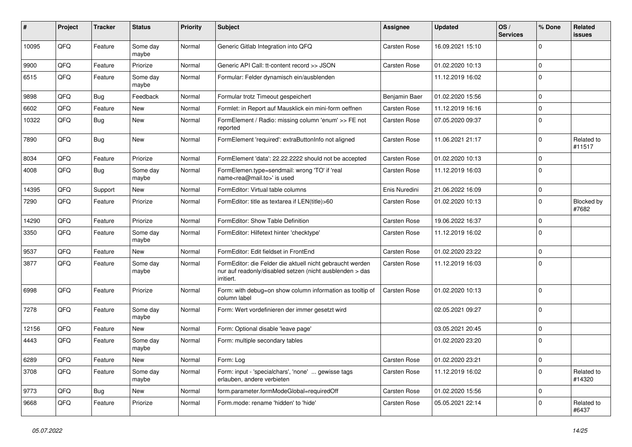| #     | Project | <b>Tracker</b> | <b>Status</b>     | <b>Priority</b> | <b>Subject</b>                                                                                                                      | Assignee      | <b>Updated</b>   | OS/<br><b>Services</b> | % Done      | Related<br>issues    |
|-------|---------|----------------|-------------------|-----------------|-------------------------------------------------------------------------------------------------------------------------------------|---------------|------------------|------------------------|-------------|----------------------|
| 10095 | QFQ     | Feature        | Some day<br>maybe | Normal          | Generic Gitlab Integration into QFQ                                                                                                 | Carsten Rose  | 16.09.2021 15:10 |                        | $\Omega$    |                      |
| 9900  | QFQ     | Feature        | Priorize          | Normal          | Generic API Call: tt-content record >> JSON                                                                                         | Carsten Rose  | 01.02.2020 10:13 |                        | $\mathbf 0$ |                      |
| 6515  | QFQ     | Feature        | Some day<br>maybe | Normal          | Formular: Felder dynamisch ein/ausblenden                                                                                           |               | 11.12.2019 16:02 |                        | $\Omega$    |                      |
| 9898  | QFQ     | Bug            | Feedback          | Normal          | Formular trotz Timeout gespeichert                                                                                                  | Benjamin Baer | 01.02.2020 15:56 |                        | $\Omega$    |                      |
| 6602  | QFQ     | Feature        | New               | Normal          | Formlet: in Report auf Mausklick ein mini-form oeffnen                                                                              | Carsten Rose  | 11.12.2019 16:16 |                        | $\mathbf 0$ |                      |
| 10322 | QFQ     | Bug            | <b>New</b>        | Normal          | FormElement / Radio: missing column 'enum' >> FE not<br>reported                                                                    | Carsten Rose  | 07.05.2020 09:37 |                        | $\Omega$    |                      |
| 7890  | QFQ     | Bug            | <b>New</b>        | Normal          | FormElement 'required': extraButtonInfo not aligned                                                                                 | Carsten Rose  | 11.06.2021 21:17 |                        | $\Omega$    | Related to<br>#11517 |
| 8034  | QFQ     | Feature        | Priorize          | Normal          | FormElement 'data': 22.22.2222 should not be accepted                                                                               | Carsten Rose  | 01.02.2020 10:13 |                        | $\mathbf 0$ |                      |
| 4008  | QFQ     | Bug            | Some day<br>maybe | Normal          | FormElemen.type=sendmail: wrong 'TO' if 'real<br>name <rea@mail.to>' is used</rea@mail.to>                                          | Carsten Rose  | 11.12.2019 16:03 |                        | $\Omega$    |                      |
| 14395 | QFQ     | Support        | <b>New</b>        | Normal          | FormEditor: Virtual table columns                                                                                                   | Enis Nuredini | 21.06.2022 16:09 |                        | $\mathbf 0$ |                      |
| 7290  | QFQ     | Feature        | Priorize          | Normal          | FormEditor: title as textarea if LEN(title)>60                                                                                      | Carsten Rose  | 01.02.2020 10:13 |                        | $\Omega$    | Blocked by<br>#7682  |
| 14290 | QFQ     | Feature        | Priorize          | Normal          | FormEditor: Show Table Definition                                                                                                   | Carsten Rose  | 19.06.2022 16:37 |                        | $\mathbf 0$ |                      |
| 3350  | QFQ     | Feature        | Some day<br>maybe | Normal          | FormEditor: Hilfetext hinter 'checktype'                                                                                            | Carsten Rose  | 11.12.2019 16:02 |                        | $\Omega$    |                      |
| 9537  | QFQ     | Feature        | <b>New</b>        | Normal          | FormEditor: Edit fieldset in FrontEnd                                                                                               | Carsten Rose  | 01.02.2020 23:22 |                        | $\Omega$    |                      |
| 3877  | QFQ     | Feature        | Some day<br>maybe | Normal          | FormEditor: die Felder die aktuell nicht gebraucht werden<br>nur auf readonly/disabled setzen (nicht ausblenden > das<br>irritiert. | Carsten Rose  | 11.12.2019 16:03 |                        | $\mathbf 0$ |                      |
| 6998  | QFQ     | Feature        | Priorize          | Normal          | Form: with debug=on show column information as tooltip of<br>column label                                                           | Carsten Rose  | 01.02.2020 10:13 |                        | $\mathbf 0$ |                      |
| 7278  | QFQ     | Feature        | Some day<br>maybe | Normal          | Form: Wert vordefinieren der immer gesetzt wird                                                                                     |               | 02.05.2021 09:27 |                        | $\Omega$    |                      |
| 12156 | QFQ     | Feature        | <b>New</b>        | Normal          | Form: Optional disable 'leave page'                                                                                                 |               | 03.05.2021 20:45 |                        | $\mathbf 0$ |                      |
| 4443  | QFQ     | Feature        | Some day<br>maybe | Normal          | Form: multiple secondary tables                                                                                                     |               | 01.02.2020 23:20 |                        | $\Omega$    |                      |
| 6289  | QFQ     | Feature        | New               | Normal          | Form: Log                                                                                                                           | Carsten Rose  | 01.02.2020 23:21 |                        | 0           |                      |
| 3708  | QFQ     | Feature        | Some day<br>maybe | Normal          | Form: input - 'specialchars', 'none'  gewisse tags<br>erlauben, andere verbieten                                                    | Carsten Rose  | 11.12.2019 16:02 |                        | $\mathbf 0$ | Related to<br>#14320 |
| 9773  | QFQ     | <b>Bug</b>     | New               | Normal          | form.parameter.formModeGlobal=requiredOff                                                                                           | Carsten Rose  | 01.02.2020 15:56 |                        | $\mathbf 0$ |                      |
| 9668  | QFQ     | Feature        | Priorize          | Normal          | Form.mode: rename 'hidden' to 'hide'                                                                                                | Carsten Rose  | 05.05.2021 22:14 |                        | 0           | Related to<br>#6437  |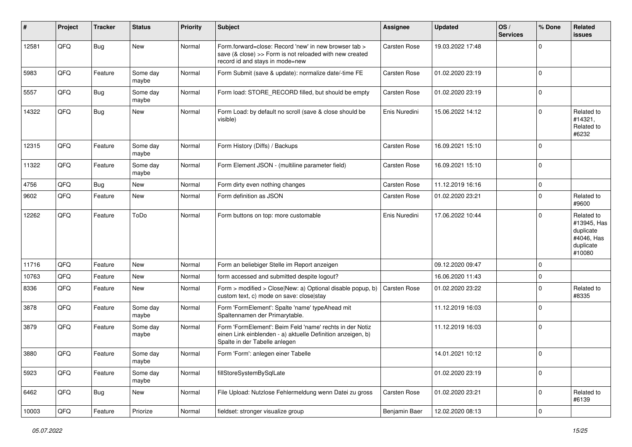| #     | Project | <b>Tracker</b> | <b>Status</b>     | Priority | <b>Subject</b>                                                                                                                                           | <b>Assignee</b>     | <b>Updated</b>   | OS/<br><b>Services</b> | % Done      | Related<br><b>issues</b>                                                    |
|-------|---------|----------------|-------------------|----------|----------------------------------------------------------------------------------------------------------------------------------------------------------|---------------------|------------------|------------------------|-------------|-----------------------------------------------------------------------------|
| 12581 | QFQ     | Bug            | New               | Normal   | Form.forward=close: Record 'new' in new browser tab ><br>save (& close) >> Form is not reloaded with new created<br>record id and stays in mode=new      | Carsten Rose        | 19.03.2022 17:48 |                        | $\Omega$    |                                                                             |
| 5983  | QFQ     | Feature        | Some day<br>maybe | Normal   | Form Submit (save & update): normalize date/-time FE                                                                                                     | <b>Carsten Rose</b> | 01.02.2020 23:19 |                        | $\Omega$    |                                                                             |
| 5557  | QFQ     | Bug            | Some day<br>maybe | Normal   | Form load: STORE_RECORD filled, but should be empty                                                                                                      | Carsten Rose        | 01.02.2020 23:19 |                        | $\mathbf 0$ |                                                                             |
| 14322 | QFQ     | Bug            | New               | Normal   | Form Load: by default no scroll (save & close should be<br>visible)                                                                                      | Enis Nuredini       | 15.06.2022 14:12 |                        | $\Omega$    | Related to<br>#14321,<br>Related to<br>#6232                                |
| 12315 | QFQ     | Feature        | Some day<br>maybe | Normal   | Form History (Diffs) / Backups                                                                                                                           | Carsten Rose        | 16.09.2021 15:10 |                        | $\mathbf 0$ |                                                                             |
| 11322 | QFQ     | Feature        | Some day<br>maybe | Normal   | Form Element JSON - (multiline parameter field)                                                                                                          | Carsten Rose        | 16.09.2021 15:10 |                        | $\mathbf 0$ |                                                                             |
| 4756  | QFQ     | <b>Bug</b>     | New               | Normal   | Form dirty even nothing changes                                                                                                                          | Carsten Rose        | 11.12.2019 16:16 |                        | $\mathbf 0$ |                                                                             |
| 9602  | QFQ     | Feature        | New               | Normal   | Form definition as JSON                                                                                                                                  | Carsten Rose        | 01.02.2020 23:21 |                        | $\Omega$    | Related to<br>#9600                                                         |
| 12262 | QFQ     | Feature        | ToDo              | Normal   | Form buttons on top: more customable                                                                                                                     | Enis Nuredini       | 17.06.2022 10:44 |                        | $\Omega$    | Related to<br>#13945, Has<br>duplicate<br>#4046, Has<br>duplicate<br>#10080 |
| 11716 | QFQ     | Feature        | New               | Normal   | Form an beliebiger Stelle im Report anzeigen                                                                                                             |                     | 09.12.2020 09:47 |                        | $\Omega$    |                                                                             |
| 10763 | QFQ     | Feature        | New               | Normal   | form accessed and submitted despite logout?                                                                                                              |                     | 16.06.2020 11:43 |                        | 0           |                                                                             |
| 8336  | QFQ     | Feature        | New               | Normal   | Form > modified > Close New: a) Optional disable popup, b)<br>custom text, c) mode on save: close stay                                                   | Carsten Rose        | 01.02.2020 23:22 |                        | $\Omega$    | Related to<br>#8335                                                         |
| 3878  | QFQ     | Feature        | Some day<br>maybe | Normal   | Form 'FormElement': Spalte 'name' typeAhead mit<br>Spaltennamen der Primarytable.                                                                        |                     | 11.12.2019 16:03 |                        | $\mathbf 0$ |                                                                             |
| 3879  | QFQ     | Feature        | Some day<br>maybe | Normal   | Form 'FormElement': Beim Feld 'name' rechts in der Notiz<br>einen Link einblenden - a) aktuelle Definition anzeigen, b)<br>Spalte in der Tabelle anlegen |                     | 11.12.2019 16:03 |                        | 0           |                                                                             |
| 3880  | QFQ     | Feature        | Some day<br>maybe | Normal   | Form 'Form': anlegen einer Tabelle                                                                                                                       |                     | 14.01.2021 10:12 |                        | 0           |                                                                             |
| 5923  | QFQ     | Feature        | Some day<br>maybe | Normal   | fillStoreSystemBySqlLate                                                                                                                                 |                     | 01.02.2020 23:19 |                        | $\mathbf 0$ |                                                                             |
| 6462  | QFQ     | <b>Bug</b>     | New               | Normal   | File Upload: Nutzlose Fehlermeldung wenn Datei zu gross                                                                                                  | Carsten Rose        | 01.02.2020 23:21 |                        | $\mathbf 0$ | Related to<br>#6139                                                         |
| 10003 | QFQ     | Feature        | Priorize          | Normal   | fieldset: stronger visualize group                                                                                                                       | Benjamin Baer       | 12.02.2020 08:13 |                        | $\mathbf 0$ |                                                                             |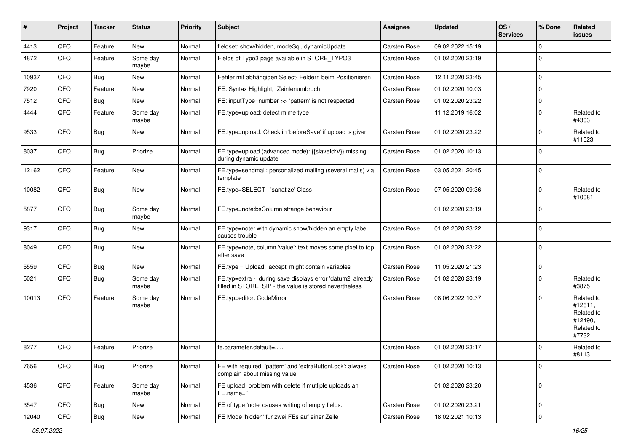| #     | Project | <b>Tracker</b> | <b>Status</b>     | <b>Priority</b> | Subject                                                                                                              | <b>Assignee</b>     | <b>Updated</b>   | OS/<br><b>Services</b> | % Done       | Related<br>issues                                                     |
|-------|---------|----------------|-------------------|-----------------|----------------------------------------------------------------------------------------------------------------------|---------------------|------------------|------------------------|--------------|-----------------------------------------------------------------------|
| 4413  | QFQ     | Feature        | <b>New</b>        | Normal          | fieldset: show/hidden, modeSql, dynamicUpdate                                                                        | Carsten Rose        | 09.02.2022 15:19 |                        | $\Omega$     |                                                                       |
| 4872  | QFQ     | Feature        | Some day<br>maybe | Normal          | Fields of Typo3 page available in STORE_TYPO3                                                                        | <b>Carsten Rose</b> | 01.02.2020 23:19 |                        | $\Omega$     |                                                                       |
| 10937 | QFQ     | Bug            | <b>New</b>        | Normal          | Fehler mit abhängigen Select- Feldern beim Positionieren                                                             | <b>Carsten Rose</b> | 12.11.2020 23:45 |                        | $\mathbf 0$  |                                                                       |
| 7920  | QFQ     | Feature        | New               | Normal          | FE: Syntax Highlight, Zeinlenumbruch                                                                                 | <b>Carsten Rose</b> | 01.02.2020 10:03 |                        | $\Omega$     |                                                                       |
| 7512  | QFQ     | Bug            | New               | Normal          | FE: inputType=number >> 'pattern' is not respected                                                                   | Carsten Rose        | 01.02.2020 23:22 |                        | $\Omega$     |                                                                       |
| 4444  | QFQ     | Feature        | Some day<br>maybe | Normal          | FE.type=upload: detect mime type                                                                                     |                     | 11.12.2019 16:02 |                        | $\Omega$     | Related to<br>#4303                                                   |
| 9533  | QFQ     | Bug            | <b>New</b>        | Normal          | FE.type=upload: Check in 'beforeSave' if upload is given                                                             | <b>Carsten Rose</b> | 01.02.2020 23:22 |                        | $\Omega$     | Related to<br>#11523                                                  |
| 8037  | QFQ     | Bug            | Priorize          | Normal          | FE.type=upload (advanced mode): {{slaveld:V}} missing<br>during dynamic update                                       | <b>Carsten Rose</b> | 01.02.2020 10:13 |                        | $\Omega$     |                                                                       |
| 12162 | QFQ     | Feature        | <b>New</b>        | Normal          | FE.type=sendmail: personalized mailing (several mails) via<br>template                                               | Carsten Rose        | 03.05.2021 20:45 |                        | $\Omega$     |                                                                       |
| 10082 | QFQ     | Bug            | <b>New</b>        | Normal          | FE.type=SELECT - 'sanatize' Class                                                                                    | <b>Carsten Rose</b> | 07.05.2020 09:36 |                        | $\Omega$     | Related to<br>#10081                                                  |
| 5877  | QFQ     | Bug            | Some day<br>maybe | Normal          | FE.type=note:bsColumn strange behaviour                                                                              |                     | 01.02.2020 23:19 |                        | $\mathbf 0$  |                                                                       |
| 9317  | QFQ     | Bug            | New               | Normal          | FE.type=note: with dynamic show/hidden an empty label<br>causes trouble                                              | <b>Carsten Rose</b> | 01.02.2020 23:22 |                        | $\Omega$     |                                                                       |
| 8049  | QFQ     | Bug            | <b>New</b>        | Normal          | FE.type=note, column 'value': text moves some pixel to top<br>after save                                             | <b>Carsten Rose</b> | 01.02.2020 23:22 |                        | $\mathbf 0$  |                                                                       |
| 5559  | QFQ     | Bug            | New               | Normal          | FE.type = Upload: 'accept' might contain variables                                                                   | <b>Carsten Rose</b> | 11.05.2020 21:23 |                        | $\Omega$     |                                                                       |
| 5021  | QFQ     | Bug            | Some day<br>maybe | Normal          | FE.typ=extra - during save displays error 'datum2' already<br>filled in STORE_SIP - the value is stored nevertheless | Carsten Rose        | 01.02.2020 23:19 |                        | $\Omega$     | Related to<br>#3875                                                   |
| 10013 | QFQ     | Feature        | Some day<br>maybe | Normal          | FE.typ=editor: CodeMirror                                                                                            | <b>Carsten Rose</b> | 08.06.2022 10:37 |                        | <sup>0</sup> | Related to<br>#12611,<br>Related to<br>#12490,<br>Related to<br>#7732 |
| 8277  | QFQ     | Feature        | Priorize          | Normal          | fe.parameter.default=                                                                                                | <b>Carsten Rose</b> | 01.02.2020 23:17 |                        | $\Omega$     | Related to<br>#8113                                                   |
| 7656  | QFQ     | Bug            | Priorize          | Normal          | FE with required, 'pattern' and 'extraButtonLock': always<br>complain about missing value                            | Carsten Rose        | 01.02.2020 10:13 |                        | $\mathbf 0$  |                                                                       |
| 4536  | QFQ     | Feature        | Some day<br>maybe | Normal          | FE upload: problem with delete if mutliple uploads an<br>FE.name="                                                   |                     | 01.02.2020 23:20 |                        | $\mathbf 0$  |                                                                       |
| 3547  | QFQ     | Bug            | New               | Normal          | FE of type 'note' causes writing of empty fields.                                                                    | Carsten Rose        | 01.02.2020 23:21 |                        | 0            |                                                                       |
| 12040 | QFG     | Bug            | New               | Normal          | FE Mode 'hidden' für zwei FEs auf einer Zeile                                                                        | Carsten Rose        | 18.02.2021 10:13 |                        | $\mathbf 0$  |                                                                       |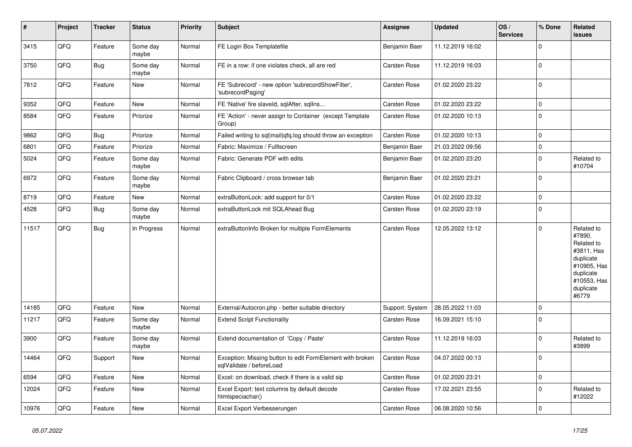| $\vert$ # | Project | <b>Tracker</b> | <b>Status</b>     | <b>Priority</b> | <b>Subject</b>                                                                        | <b>Assignee</b>     | <b>Updated</b>   | OS/<br><b>Services</b> | % Done      | Related<br>issues                                                                                                              |
|-----------|---------|----------------|-------------------|-----------------|---------------------------------------------------------------------------------------|---------------------|------------------|------------------------|-------------|--------------------------------------------------------------------------------------------------------------------------------|
| 3415      | QFQ     | Feature        | Some day<br>maybe | Normal          | FE Login Box Templatefile                                                             | Benjamin Baer       | 11.12.2019 16:02 |                        | $\Omega$    |                                                                                                                                |
| 3750      | QFQ     | Bug            | Some day<br>maybe | Normal          | FE in a row: if one violates check, all are red                                       | Carsten Rose        | 11.12.2019 16:03 |                        | $\mathbf 0$ |                                                                                                                                |
| 7812      | QFQ     | Feature        | New               | Normal          | FE 'Subrecord' - new option 'subrecordShowFilter',<br>'subrecordPaging'               | Carsten Rose        | 01.02.2020 23:22 |                        | $\Omega$    |                                                                                                                                |
| 9352      | QFQ     | Feature        | <b>New</b>        | Normal          | FE 'Native' fire slaveld, sqlAfter, sqlIns                                            | Carsten Rose        | 01.02.2020 23:22 |                        | $\Omega$    |                                                                                                                                |
| 8584      | QFQ     | Feature        | Priorize          | Normal          | FE 'Action' - never assign to Container (except Template<br>Group)                    | Carsten Rose        | 01.02.2020 10:13 |                        | $\Omega$    |                                                                                                                                |
| 9862      | QFQ     | Bug            | Priorize          | Normal          | Failed writing to sql mail qfq.log should throw an exception                          | <b>Carsten Rose</b> | 01.02.2020 10:13 |                        | $\Omega$    |                                                                                                                                |
| 6801      | QFQ     | Feature        | Priorize          | Normal          | Fabric: Maximize / FullIscreen                                                        | Benjamin Baer       | 21.03.2022 09:56 |                        | $\mathbf 0$ |                                                                                                                                |
| 5024      | QFQ     | Feature        | Some day<br>maybe | Normal          | Fabric: Generate PDF with edits                                                       | Benjamin Baer       | 01.02.2020 23:20 |                        | $\mathbf 0$ | Related to<br>#10704                                                                                                           |
| 6972      | QFQ     | Feature        | Some day<br>maybe | Normal          | Fabric Clipboard / cross browser tab                                                  | Benjamin Baer       | 01.02.2020 23:21 |                        | $\mathbf 0$ |                                                                                                                                |
| 8719      | QFQ     | Feature        | New               | Normal          | extraButtonLock: add support for 0/1                                                  | Carsten Rose        | 01.02.2020 23:22 |                        | $\mathbf 0$ |                                                                                                                                |
| 4528      | QFQ     | Bug            | Some day<br>maybe | Normal          | extraButtonLock mit SQLAhead Bug                                                      | Carsten Rose        | 01.02.2020 23:19 |                        | $\mathbf 0$ |                                                                                                                                |
| 11517     | QFQ     | Bug            | In Progress       | Normal          | extraButtonInfo Broken for multiple FormElements                                      | Carsten Rose        | 12.05.2022 13:12 |                        | $\Omega$    | Related to<br>#7890,<br>Related to<br>#3811, Has<br>duplicate<br>#10905, Has<br>duplicate<br>#10553, Has<br>duplicate<br>#6779 |
| 14185     | QFQ     | Feature        | <b>New</b>        | Normal          | External/Autocron.php - better suitable directory                                     | Support: System     | 28.05.2022 11:03 |                        | $\mathbf 0$ |                                                                                                                                |
| 11217     | QFQ     | Feature        | Some day<br>maybe | Normal          | <b>Extend Script Functionality</b>                                                    | Carsten Rose        | 16.09.2021 15:10 |                        | $\mathbf 0$ |                                                                                                                                |
| 3900      | QFQ     | Feature        | Some day<br>maybe | Normal          | Extend documentation of 'Copy / Paste'                                                | Carsten Rose        | 11.12.2019 16:03 |                        | $\Omega$    | Related to<br>#3899                                                                                                            |
| 14464     | QFQ     | Support        | New               | Normal          | Exception: Missing button to edit FormElement with broken<br>sqlValidate / beforeLoad | Carsten Rose        | 04.07.2022 00:13 |                        | $\Omega$    |                                                                                                                                |
| 6594      | QFQ     | Feature        | <b>New</b>        | Normal          | Excel: on download, check if there is a valid sip                                     | Carsten Rose        | 01.02.2020 23:21 |                        | $\mathbf 0$ |                                                                                                                                |
| 12024     | QFQ     | Feature        | <b>New</b>        | Normal          | Excel Export: text columns by default decode<br>htmlspeciachar()                      | Carsten Rose        | 17.02.2021 23:55 |                        | $\Omega$    | Related to<br>#12022                                                                                                           |
| 10976     | QFQ     | Feature        | New               | Normal          | Excel Export Verbesserungen                                                           | Carsten Rose        | 06.08.2020 10:56 |                        | $\mathbf 0$ |                                                                                                                                |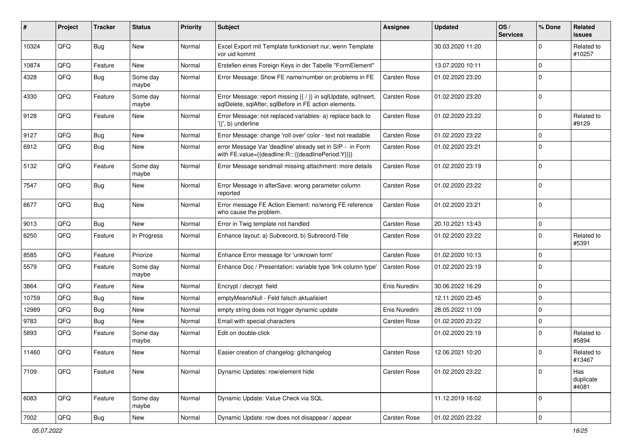| #     | Project | <b>Tracker</b> | <b>Status</b>     | <b>Priority</b> | Subject                                                                                                                 | Assignee            | <b>Updated</b>   | OS/<br><b>Services</b> | % Done      | Related<br>issues         |
|-------|---------|----------------|-------------------|-----------------|-------------------------------------------------------------------------------------------------------------------------|---------------------|------------------|------------------------|-------------|---------------------------|
| 10324 | QFQ     | Bug            | <b>New</b>        | Normal          | Excel Export mit Template funktioniert nur, wenn Template<br>vor uid kommt                                              |                     | 30.03.2020 11:20 |                        | $\Omega$    | Related to<br>#10257      |
| 10874 | QFQ     | Feature        | <b>New</b>        | Normal          | Erstellen eines Foreign Keys in der Tabelle "FormElement"                                                               |                     | 13.07.2020 10:11 |                        | $\mathbf 0$ |                           |
| 4328  | QFQ     | <b>Bug</b>     | Some day<br>maybe | Normal          | Error Message: Show FE name/number on problems in FE                                                                    | <b>Carsten Rose</b> | 01.02.2020 23:20 |                        | $\Omega$    |                           |
| 4330  | QFQ     | Feature        | Some day<br>maybe | Normal          | Error Message: report missing {{ / }} in sqlUpdate, sqlInsert,<br>sqlDelete, sqlAfter, sqlBefore in FE action elements. | Carsten Rose        | 01.02.2020 23:20 |                        | $\Omega$    |                           |
| 9128  | QFQ     | Feature        | <b>New</b>        | Normal          | Error Message: not replaced variables- a) replace back to<br>'{{', b) underline                                         | Carsten Rose        | 01.02.2020 23:22 |                        | $\Omega$    | Related to<br>#9129       |
| 9127  | QFQ     | Bug            | <b>New</b>        | Normal          | Error Message: change 'roll over' color - text not readable                                                             | Carsten Rose        | 01.02.2020 23:22 |                        | $\Omega$    |                           |
| 6912  | QFQ     | Bug            | <b>New</b>        | Normal          | error Message Var 'deadline' already set in SIP - in Form<br>with FE.value={{deadline:R:::{{deadlinePeriod:Y}}}}        | Carsten Rose        | 01.02.2020 23:21 |                        | 0           |                           |
| 5132  | QFQ     | Feature        | Some day<br>maybe | Normal          | Error Message sendmail missing attachment: more details                                                                 | Carsten Rose        | 01.02.2020 23:19 |                        | $\Omega$    |                           |
| 7547  | QFQ     | Bug            | New               | Normal          | Error Message in afterSave: wrong parameter column<br>reported                                                          | Carsten Rose        | 01.02.2020 23:22 |                        | $\mathbf 0$ |                           |
| 6677  | QFQ     | Bug            | <b>New</b>        | Normal          | Error message FE Action Element: no/wrong FE reference<br>who cause the problem.                                        | Carsten Rose        | 01.02.2020 23:21 |                        | $\Omega$    |                           |
| 9013  | QFQ     | Bug            | <b>New</b>        | Normal          | Error in Twig template not handled                                                                                      | Carsten Rose        | 20.10.2021 13:43 |                        | $\Omega$    |                           |
| 6250  | QFQ     | Feature        | In Progress       | Normal          | Enhance layout: a) Subrecord, b) Subrecord-Title                                                                        | Carsten Rose        | 01.02.2020 23:22 |                        | 0           | Related to<br>#5391       |
| 8585  | QFQ     | Feature        | Priorize          | Normal          | Enhance Error message for 'unknown form'                                                                                | Carsten Rose        | 01.02.2020 10:13 |                        | 0           |                           |
| 5579  | QFQ     | Feature        | Some day<br>maybe | Normal          | Enhance Doc / Presentation: variable type 'link column type'                                                            | <b>Carsten Rose</b> | 01.02.2020 23:19 |                        | $\Omega$    |                           |
| 3864  | QFQ     | Feature        | <b>New</b>        | Normal          | Encrypt / decrypt field                                                                                                 | Enis Nuredini       | 30.06.2022 16:29 |                        | $\Omega$    |                           |
| 10759 | QFQ     | <b>Bug</b>     | New               | Normal          | emptyMeansNull - Feld falsch aktualisiert                                                                               |                     | 12.11.2020 23:45 |                        | $\mathbf 0$ |                           |
| 12989 | QFQ     | Bug            | <b>New</b>        | Normal          | empty string does not trigger dynamic update                                                                            | Enis Nuredini       | 28.05.2022 11:09 |                        | $\Omega$    |                           |
| 9783  | QFQ     | Bug            | <b>New</b>        | Normal          | Email with special characters                                                                                           | Carsten Rose        | 01.02.2020 23:22 |                        | 0           |                           |
| 5893  | QFQ     | Feature        | Some day<br>maybe | Normal          | Edit on double-click                                                                                                    |                     | 01.02.2020 23:19 |                        | $\Omega$    | Related to<br>#5894       |
| 11460 | QFQ     | Feature        | <b>New</b>        | Normal          | Easier creation of changelog: gitchangelog                                                                              | Carsten Rose        | 12.06.2021 10:20 |                        | $\Omega$    | Related to<br>#13467      |
| 7109  | QFQ     | Feature        | New               | Normal          | Dynamic Updates: row/element hide                                                                                       | Carsten Rose        | 01.02.2020 23:22 |                        | $\mathbf 0$ | Has<br>duplicate<br>#4081 |
| 6083  | QFQ     | Feature        | Some day<br>maybe | Normal          | Dynamic Update: Value Check via SQL                                                                                     |                     | 11.12.2019 16:02 |                        | 0           |                           |
| 7002  | QFG     | Bug            | New               | Normal          | Dynamic Update: row does not disappear / appear                                                                         | Carsten Rose        | 01.02.2020 23:22 |                        | $\mathbf 0$ |                           |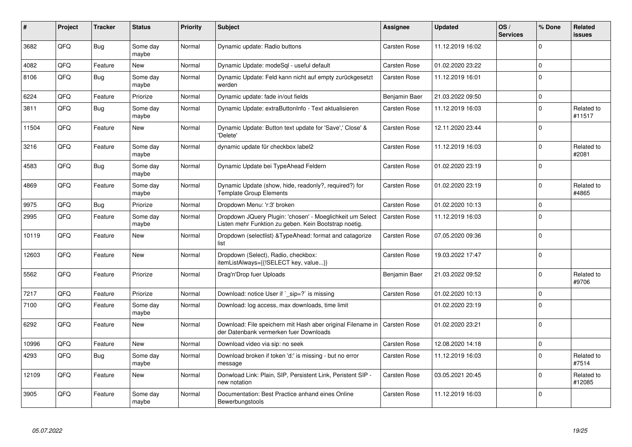| #     | Project    | <b>Tracker</b> | <b>Status</b>     | <b>Priority</b> | <b>Subject</b>                                                                                                     | Assignee            | <b>Updated</b>   | OS/<br><b>Services</b> | % Done      | Related<br><b>issues</b> |
|-------|------------|----------------|-------------------|-----------------|--------------------------------------------------------------------------------------------------------------------|---------------------|------------------|------------------------|-------------|--------------------------|
| 3682  | QFQ        | Bug            | Some day<br>maybe | Normal          | Dynamic update: Radio buttons                                                                                      | <b>Carsten Rose</b> | 11.12.2019 16:02 |                        | $\Omega$    |                          |
| 4082  | <b>OFO</b> | Feature        | <b>New</b>        | Normal          | Dynamic Update: modeSql - useful default                                                                           | <b>Carsten Rose</b> | 01.02.2020 23:22 |                        | $\Omega$    |                          |
| 8106  | QFQ        | Bug            | Some day<br>maybe | Normal          | Dynamic Update: Feld kann nicht auf empty zurückgesetzt<br>werden                                                  | Carsten Rose        | 11.12.2019 16:01 |                        | $\Omega$    |                          |
| 6224  | QFQ        | Feature        | Priorize          | Normal          | Dynamic update: fade in/out fields                                                                                 | Benjamin Baer       | 21.03.2022 09:50 |                        | $\mathbf 0$ |                          |
| 3811  | QFQ        | Bug            | Some day<br>maybe | Normal          | Dynamic Update: extraButtonInfo - Text aktualisieren                                                               | Carsten Rose        | 11.12.2019 16:03 |                        | $\Omega$    | Related to<br>#11517     |
| 11504 | QFQ        | Feature        | <b>New</b>        | Normal          | Dynamic Update: Button text update for 'Save',' Close' &<br>'Delete'                                               | Carsten Rose        | 12.11.2020 23:44 |                        | $\Omega$    |                          |
| 3216  | QFQ        | Feature        | Some day<br>maybe | Normal          | dynamic update für checkbox label2                                                                                 | Carsten Rose        | 11.12.2019 16:03 |                        | $\Omega$    | Related to<br>#2081      |
| 4583  | QFQ        | Bug            | Some day<br>maybe | Normal          | Dynamic Update bei TypeAhead Feldern                                                                               | Carsten Rose        | 01.02.2020 23:19 |                        | $\Omega$    |                          |
| 4869  | QFQ        | Feature        | Some day<br>maybe | Normal          | Dynamic Update (show, hide, readonly?, required?) for<br><b>Template Group Elements</b>                            | Carsten Rose        | 01.02.2020 23:19 |                        | $\Omega$    | Related to<br>#4865      |
| 9975  | QFQ        | Bug            | Priorize          | Normal          | Dropdown Menu: 'r:3' broken                                                                                        | Carsten Rose        | 01.02.2020 10:13 |                        | $\Omega$    |                          |
| 2995  | QFQ        | Feature        | Some day<br>maybe | Normal          | Dropdown JQuery Plugin: 'chosen' - Moeglichkeit um Select<br>Listen mehr Funktion zu geben. Kein Bootstrap noetig. | <b>Carsten Rose</b> | 11.12.2019 16:03 |                        | $\Omega$    |                          |
| 10119 | QFQ        | Feature        | <b>New</b>        | Normal          | Dropdown (selectlist) & Type Ahead: format and catagorize<br>list                                                  | <b>Carsten Rose</b> | 07.05.2020 09:36 |                        | $\Omega$    |                          |
| 12603 | QFQ        | Feature        | <b>New</b>        | Normal          | Dropdown (Select), Radio, checkbox:<br>itemListAlways={{!SELECT key, value}}                                       | Carsten Rose        | 19.03.2022 17:47 |                        | $\Omega$    |                          |
| 5562  | QFQ        | Feature        | Priorize          | Normal          | Drag'n'Drop fuer Uploads                                                                                           | Benjamin Baer       | 21.03.2022 09:52 |                        | $\Omega$    | Related to<br>#9706      |
| 7217  | QFQ        | Feature        | Priorize          | Normal          | Download: notice User if `_sip=?` is missing                                                                       | Carsten Rose        | 01.02.2020 10:13 |                        | $\Omega$    |                          |
| 7100  | QFQ        | Feature        | Some day<br>maybe | Normal          | Download: log access, max downloads, time limit                                                                    |                     | 01.02.2020 23:19 |                        | $\Omega$    |                          |
| 6292  | QFQ        | Feature        | <b>New</b>        | Normal          | Download: File speichern mit Hash aber original Filename in<br>der Datenbank vermerken fuer Downloads              | <b>Carsten Rose</b> | 01.02.2020 23:21 |                        | $\Omega$    |                          |
| 10996 | QFQ        | Feature        | <b>New</b>        | Normal          | Download video via sip: no seek                                                                                    | Carsten Rose        | 12.08.2020 14:18 |                        | $\mathbf 0$ |                          |
| 4293  | QFQ        | Bug            | Some day<br>maybe | Normal          | Download broken if token 'd:' is missing - but no error<br>message                                                 | <b>Carsten Rose</b> | 11.12.2019 16:03 |                        | $\Omega$    | Related to<br>#7514      |
| 12109 | QFQ        | Feature        | <b>New</b>        | Normal          | Donwload Link: Plain, SIP, Persistent Link, Peristent SIP -<br>new notation                                        | <b>Carsten Rose</b> | 03.05.2021 20:45 |                        | $\Omega$    | Related to<br>#12085     |
| 3905  | QFQ        | Feature        | Some day<br>maybe | Normal          | Documentation: Best Practice anhand eines Online<br>Bewerbungstools                                                | Carsten Rose        | 11.12.2019 16:03 |                        | $\Omega$    |                          |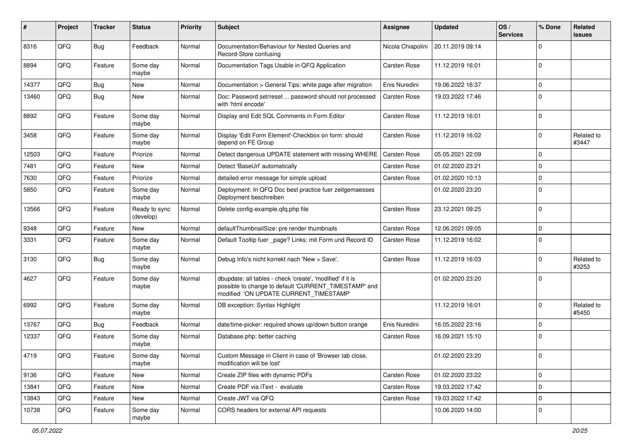| ∦     | Project | <b>Tracker</b> | <b>Status</b>              | <b>Priority</b> | <b>Subject</b>                                                                                                                                                | <b>Assignee</b>     | <b>Updated</b>   | OS/<br><b>Services</b> | % Done      | Related<br>issues   |
|-------|---------|----------------|----------------------------|-----------------|---------------------------------------------------------------------------------------------------------------------------------------------------------------|---------------------|------------------|------------------------|-------------|---------------------|
| 8316  | QFQ     | Bug            | Feedback                   | Normal          | Documentation/Behaviour for Nested Queries and<br>Record-Store confusing                                                                                      | Nicola Chiapolini   | 20.11.2019 09:14 |                        | $\Omega$    |                     |
| 8894  | QFQ     | Feature        | Some day<br>maybe          | Normal          | Documentation Tags Usable in QFQ Application                                                                                                                  | Carsten Rose        | 11.12.2019 16:01 |                        | $\Omega$    |                     |
| 14377 | QFQ     | Bug            | New                        | Normal          | Documentation > General Tips: white page after migration                                                                                                      | Enis Nuredini       | 19.06.2022 16:37 |                        | $\Omega$    |                     |
| 13460 | QFQ     | Bug            | <b>New</b>                 | Normal          | Doc: Password set/reset  password should not processed<br>with 'html encode'                                                                                  | Carsten Rose        | 19.03.2022 17:46 |                        | $\Omega$    |                     |
| 8892  | QFQ     | Feature        | Some day<br>maybe          | Normal          | Display and Edit SQL Comments in Form Editor                                                                                                                  | Carsten Rose        | 11.12.2019 16:01 |                        | $\Omega$    |                     |
| 3458  | QFQ     | Feature        | Some day<br>maybe          | Normal          | Display 'Edit Form Element'-Checkbox on form: should<br>depend on FE Group                                                                                    | Carsten Rose        | 11.12.2019 16:02 |                        | $\Omega$    | Related to<br>#3447 |
| 12503 | QFQ     | Feature        | Priorize                   | Normal          | Detect dangerous UPDATE statement with missing WHERE                                                                                                          | Carsten Rose        | 05.05.2021 22:09 |                        | $\Omega$    |                     |
| 7481  | QFQ     | Feature        | New                        | Normal          | Detect 'BaseUrl' automatically                                                                                                                                | Carsten Rose        | 01.02.2020 23:21 |                        | $\Omega$    |                     |
| 7630  | QFQ     | Feature        | Priorize                   | Normal          | detailed error message for simple upload                                                                                                                      | Carsten Rose        | 01.02.2020 10:13 |                        | $\mathbf 0$ |                     |
| 5850  | QFQ     | Feature        | Some day<br>maybe          | Normal          | Deployment: In QFQ Doc best practice fuer zeitgemaesses<br>Deployment beschreiben                                                                             |                     | 01.02.2020 23:20 |                        | $\mathbf 0$ |                     |
| 13566 | QFQ     | Feature        | Ready to sync<br>(develop) | Normal          | Delete config-example.qfq.php file                                                                                                                            | Carsten Rose        | 23.12.2021 09:25 |                        | $\Omega$    |                     |
| 9348  | QFQ     | Feature        | <b>New</b>                 | Normal          | defaultThumbnailSize: pre render thumbnails                                                                                                                   | Carsten Rose        | 12.06.2021 09:05 |                        | $\Omega$    |                     |
| 3331  | QFQ     | Feature        | Some day<br>maybe          | Normal          | Default Tooltip fuer _page? Links: mit Form und Record ID                                                                                                     | <b>Carsten Rose</b> | 11.12.2019 16:02 |                        | $\Omega$    |                     |
| 3130  | QFQ     | Bug            | Some day<br>maybe          | Normal          | Debug Info's nicht korrekt nach 'New > Save'.                                                                                                                 | Carsten Rose        | 11.12.2019 16:03 |                        | $\Omega$    | Related to<br>#3253 |
| 4627  | QFQ     | Feature        | Some day<br>maybe          | Normal          | dbupdate: all tables - check 'create', 'modified' if it is<br>possible to change to default 'CURRENT_TIMESTAMP' and<br>modified 'ON UPDATE CURRENT TIMESTAMP' |                     | 01.02.2020 23:20 |                        | $\Omega$    |                     |
| 6992  | QFQ     | Feature        | Some day<br>maybe          | Normal          | DB exception: Syntax Highlight                                                                                                                                |                     | 11.12.2019 16:01 |                        | $\Omega$    | Related to<br>#5450 |
| 13767 | QFQ     | Bug            | Feedback                   | Normal          | date/time-picker: required shows up/down button orange                                                                                                        | Enis Nuredini       | 16.05.2022 23:16 |                        | $\mathbf 0$ |                     |
| 12337 | QFQ     | Feature        | Some day<br>maybe          | Normal          | Database.php: better caching                                                                                                                                  | Carsten Rose        | 16.09.2021 15:10 |                        | $\Omega$    |                     |
| 4719  | QFQ     | Feature        | Some day<br>maybe          | Normal          | Custom Message in Client in case of 'Browser tab close,<br>modification will be lost'                                                                         |                     | 01.02.2020 23:20 |                        | $\Omega$    |                     |
| 9136  | QFQ     | Feature        | New                        | Normal          | Create ZIP files with dynamic PDFs                                                                                                                            | Carsten Rose        | 01.02.2020 23:22 |                        | $\mathbf 0$ |                     |
| 13841 | QFQ     | Feature        | New                        | Normal          | Create PDF via iText - evaluate                                                                                                                               | Carsten Rose        | 19.03.2022 17:42 |                        | $\mathbf 0$ |                     |
| 13843 | QFQ     | Feature        | New                        | Normal          | Create JWT via QFQ                                                                                                                                            | Carsten Rose        | 19.03.2022 17:42 |                        | 0           |                     |
| 10738 | QFQ     | Feature        | Some day<br>maybe          | Normal          | CORS headers for external API requests                                                                                                                        |                     | 10.06.2020 14:00 |                        | 0           |                     |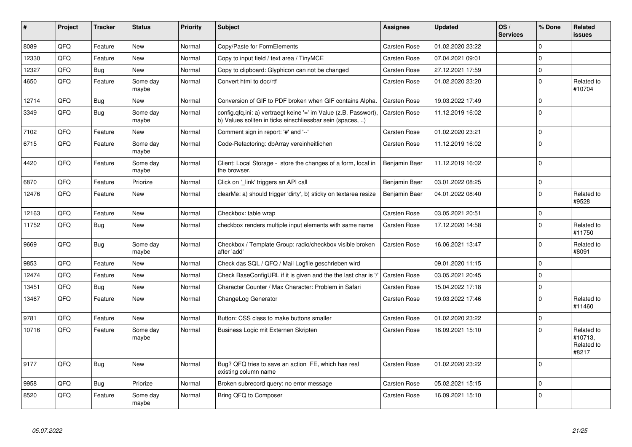| ∦     | Project | <b>Tracker</b> | <b>Status</b>     | <b>Priority</b> | <b>Subject</b>                                                                                                                | Assignee            | <b>Updated</b>   | OS/<br><b>Services</b> | % Done      | Related<br><b>issues</b>                     |
|-------|---------|----------------|-------------------|-----------------|-------------------------------------------------------------------------------------------------------------------------------|---------------------|------------------|------------------------|-------------|----------------------------------------------|
| 8089  | QFQ     | Feature        | <b>New</b>        | Normal          | Copy/Paste for FormElements                                                                                                   | Carsten Rose        | 01.02.2020 23:22 |                        | $\Omega$    |                                              |
| 12330 | QFQ     | Feature        | <b>New</b>        | Normal          | Copy to input field / text area / TinyMCE                                                                                     | Carsten Rose        | 07.04.2021 09:01 |                        | $\Omega$    |                                              |
| 12327 | QFQ     | Bug            | <b>New</b>        | Normal          | Copy to clipboard: Glyphicon can not be changed                                                                               | Carsten Rose        | 27.12.2021 17:59 |                        | $\mathbf 0$ |                                              |
| 4650  | QFQ     | Feature        | Some day<br>maybe | Normal          | Convert html to doc/rtf                                                                                                       | <b>Carsten Rose</b> | 01.02.2020 23:20 |                        | $\Omega$    | Related to<br>#10704                         |
| 12714 | QFQ     | Bug            | <b>New</b>        | Normal          | Conversion of GIF to PDF broken when GIF contains Alpha.                                                                      | <b>Carsten Rose</b> | 19.03.2022 17:49 |                        | $\Omega$    |                                              |
| 3349  | QFQ     | Bug            | Some day<br>maybe | Normal          | config.qfq.ini: a) vertraegt keine '=' im Value (z.B. Passwort),<br>b) Values sollten in ticks einschliessbar sein (spaces, ) | <b>Carsten Rose</b> | 11.12.2019 16:02 |                        | $\mathbf 0$ |                                              |
| 7102  | QFQ     | Feature        | <b>New</b>        | Normal          | Comment sign in report: '#' and '--'                                                                                          | Carsten Rose        | 01.02.2020 23:21 |                        | $\mathbf 0$ |                                              |
| 6715  | QFQ     | Feature        | Some day<br>maybe | Normal          | Code-Refactoring: dbArray vereinheitlichen                                                                                    | Carsten Rose        | 11.12.2019 16:02 |                        | $\Omega$    |                                              |
| 4420  | QFQ     | Feature        | Some day<br>maybe | Normal          | Client: Local Storage - store the changes of a form, local in<br>the browser.                                                 | Benjamin Baer       | 11.12.2019 16:02 |                        | $\Omega$    |                                              |
| 6870  | QFQ     | Feature        | Priorize          | Normal          | Click on '_link' triggers an API call                                                                                         | Benjamin Baer       | 03.01.2022 08:25 |                        | $\Omega$    |                                              |
| 12476 | QFQ     | Feature        | <b>New</b>        | Normal          | clearMe: a) should trigger 'dirty', b) sticky on textarea resize                                                              | Benjamin Baer       | 04.01.2022 08:40 |                        | $\Omega$    | Related to<br>#9528                          |
| 12163 | QFQ     | Feature        | <b>New</b>        | Normal          | Checkbox: table wrap                                                                                                          | Carsten Rose        | 03.05.2021 20:51 |                        | $\Omega$    |                                              |
| 11752 | QFQ     | Bug            | <b>New</b>        | Normal          | checkbox renders multiple input elements with same name                                                                       | <b>Carsten Rose</b> | 17.12.2020 14:58 |                        | $\Omega$    | Related to<br>#11750                         |
| 9669  | QFQ     | Bug            | Some day<br>maybe | Normal          | Checkbox / Template Group: radio/checkbox visible broken<br>after 'add'                                                       | <b>Carsten Rose</b> | 16.06.2021 13:47 |                        | $\Omega$    | Related to<br>#8091                          |
| 9853  | QFQ     | Feature        | <b>New</b>        | Normal          | Check das SQL / QFQ / Mail Logfile geschrieben wird                                                                           |                     | 09.01.2020 11:15 |                        | $\Omega$    |                                              |
| 12474 | QFQ     | Feature        | <b>New</b>        | Normal          | Check BaseConfigURL if it is given and the the last char is '/                                                                | <b>Carsten Rose</b> | 03.05.2021 20:45 |                        | $\Omega$    |                                              |
| 13451 | QFQ     | <b>Bug</b>     | <b>New</b>        | Normal          | Character Counter / Max Character: Problem in Safari                                                                          | Carsten Rose        | 15.04.2022 17:18 |                        | $\mathbf 0$ |                                              |
| 13467 | QFQ     | Feature        | <b>New</b>        | Normal          | ChangeLog Generator                                                                                                           | Carsten Rose        | 19.03.2022 17:46 |                        | $\Omega$    | Related to<br>#11460                         |
| 9781  | QFQ     | Feature        | <b>New</b>        | Normal          | Button: CSS class to make buttons smaller                                                                                     | <b>Carsten Rose</b> | 01.02.2020 23:22 |                        | $\Omega$    |                                              |
| 10716 | QFQ     | Feature        | Some day<br>maybe | Normal          | Business Logic mit Externen Skripten                                                                                          | Carsten Rose        | 16.09.2021 15:10 |                        | $\Omega$    | Related to<br>#10713.<br>Related to<br>#8217 |
| 9177  | QFQ     | <b>Bug</b>     | <b>New</b>        | Normal          | Bug? QFQ tries to save an action FE, which has real<br>existing column name                                                   | Carsten Rose        | 01.02.2020 23:22 |                        | $\Omega$    |                                              |
| 9958  | QFQ     | Bug            | Priorize          | Normal          | Broken subrecord query: no error message                                                                                      | Carsten Rose        | 05.02.2021 15:15 |                        | $\mathbf 0$ |                                              |
| 8520  | QFQ     | Feature        | Some day<br>maybe | Normal          | Bring QFQ to Composer                                                                                                         | <b>Carsten Rose</b> | 16.09.2021 15:10 |                        | $\Omega$    |                                              |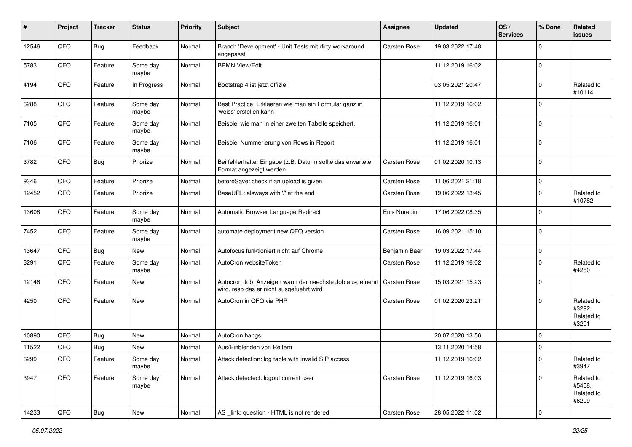| ∦     | Project | <b>Tracker</b> | <b>Status</b>     | <b>Priority</b> | <b>Subject</b>                                                                                       | <b>Assignee</b> | Updated          | OS/<br><b>Services</b> | % Done      | Related<br>issues                           |
|-------|---------|----------------|-------------------|-----------------|------------------------------------------------------------------------------------------------------|-----------------|------------------|------------------------|-------------|---------------------------------------------|
| 12546 | QFQ     | Bug            | Feedback          | Normal          | Branch 'Development' - Unit Tests mit dirty workaround<br>angepasst                                  | Carsten Rose    | 19.03.2022 17:48 |                        | $\Omega$    |                                             |
| 5783  | QFQ     | Feature        | Some day<br>maybe | Normal          | <b>BPMN View/Edit</b>                                                                                |                 | 11.12.2019 16:02 |                        | 0           |                                             |
| 4194  | QFQ     | Feature        | In Progress       | Normal          | Bootstrap 4 ist jetzt offiziel                                                                       |                 | 03.05.2021 20:47 |                        | $\Omega$    | Related to<br>#10114                        |
| 6288  | QFQ     | Feature        | Some day<br>maybe | Normal          | Best Practice: Erklaeren wie man ein Formular ganz in<br>'weiss' erstellen kann                      |                 | 11.12.2019 16:02 |                        | $\Omega$    |                                             |
| 7105  | QFQ     | Feature        | Some day<br>maybe | Normal          | Beispiel wie man in einer zweiten Tabelle speichert.                                                 |                 | 11.12.2019 16:01 |                        | $\Omega$    |                                             |
| 7106  | QFQ     | Feature        | Some day<br>maybe | Normal          | Beispiel Nummerierung von Rows in Report                                                             |                 | 11.12.2019 16:01 |                        | $\Omega$    |                                             |
| 3782  | QFQ     | Bug            | Priorize          | Normal          | Bei fehlerhafter Eingabe (z.B. Datum) sollte das erwartete<br>Format angezeigt werden                | Carsten Rose    | 01.02.2020 10:13 |                        | $\Omega$    |                                             |
| 9346  | QFQ     | Feature        | Priorize          | Normal          | beforeSave: check if an upload is given                                                              | Carsten Rose    | 11.06.2021 21:18 |                        | $\mathbf 0$ |                                             |
| 12452 | QFQ     | Feature        | Priorize          | Normal          | BaseURL: alsways with '/' at the end                                                                 | Carsten Rose    | 19.06.2022 13:45 |                        | $\Omega$    | Related to<br>#10782                        |
| 13608 | QFQ     | Feature        | Some day<br>maybe | Normal          | Automatic Browser Language Redirect                                                                  | Enis Nuredini   | 17.06.2022 08:35 |                        | $\Omega$    |                                             |
| 7452  | QFQ     | Feature        | Some day<br>maybe | Normal          | automate deployment new QFQ version                                                                  | Carsten Rose    | 16.09.2021 15:10 |                        | $\Omega$    |                                             |
| 13647 | QFQ     | Bug            | New               | Normal          | Autofocus funktioniert nicht auf Chrome                                                              | Benjamin Baer   | 19.03.2022 17:44 |                        | $\Omega$    |                                             |
| 3291  | QFQ     | Feature        | Some day<br>maybe | Normal          | AutoCron websiteToken                                                                                | Carsten Rose    | 11.12.2019 16:02 |                        | $\Omega$    | Related to<br>#4250                         |
| 12146 | QFQ     | Feature        | New               | Normal          | Autocron Job: Anzeigen wann der naechste Job ausgefuehrt<br>wird, resp das er nicht ausgefuehrt wird | Carsten Rose    | 15.03.2021 15:23 |                        | 0           |                                             |
| 4250  | QFQ     | Feature        | <b>New</b>        | Normal          | AutoCron in QFQ via PHP                                                                              | Carsten Rose    | 01.02.2020 23:21 |                        | $\Omega$    | Related to<br>#3292,<br>Related to<br>#3291 |
| 10890 | QFQ     | Bug            | New               | Normal          | AutoCron hangs                                                                                       |                 | 20.07.2020 13:56 |                        | $\mathbf 0$ |                                             |
| 11522 | QFQ     | Bug            | New               | Normal          | Aus/Einblenden von Reitern                                                                           |                 | 13.11.2020 14:58 |                        | 0           |                                             |
| 6299  | QFQ     | Feature        | Some day<br>maybe | Normal          | Attack detection: log table with invalid SIP access                                                  |                 | 11.12.2019 16:02 |                        | ∣ ()        | Related to<br>#3947                         |
| 3947  | QFQ     | Feature        | Some day<br>maybe | Normal          | Attack detectect: logout current user                                                                | Carsten Rose    | 11.12.2019 16:03 |                        | 0           | Related to<br>#5458,<br>Related to<br>#6299 |
| 14233 | QFG     | Bug            | New               | Normal          | AS link: question - HTML is not rendered                                                             | Carsten Rose    | 28.05.2022 11:02 |                        | 0           |                                             |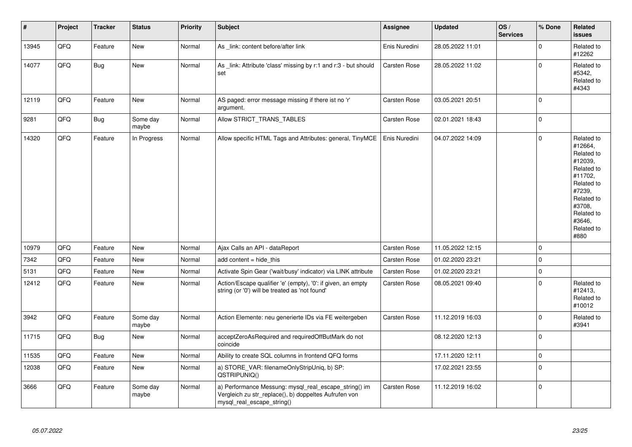| $\vert$ # | Project | <b>Tracker</b> | <b>Status</b>     | <b>Priority</b> | <b>Subject</b>                                                                                                                               | Assignee            | <b>Updated</b>   | OS/<br><b>Services</b> | % Done      | <b>Related</b><br><b>issues</b>                                                                                                                                       |
|-----------|---------|----------------|-------------------|-----------------|----------------------------------------------------------------------------------------------------------------------------------------------|---------------------|------------------|------------------------|-------------|-----------------------------------------------------------------------------------------------------------------------------------------------------------------------|
| 13945     | QFQ     | Feature        | <b>New</b>        | Normal          | As link: content before/after link                                                                                                           | Enis Nuredini       | 28.05.2022 11:01 |                        | $\mathbf 0$ | Related to<br>#12262                                                                                                                                                  |
| 14077     | QFQ     | Bug            | New               | Normal          | As link: Attribute 'class' missing by r:1 and r:3 - but should<br>set                                                                        | Carsten Rose        | 28.05.2022 11:02 |                        | $\mathbf 0$ | Related to<br>#5342,<br>Related to<br>#4343                                                                                                                           |
| 12119     | QFQ     | Feature        | New               | Normal          | AS paged: error message missing if there ist no 'r'<br>argument.                                                                             | Carsten Rose        | 03.05.2021 20:51 |                        | $\mathbf 0$ |                                                                                                                                                                       |
| 9281      | QFQ     | Bug            | Some day<br>maybe | Normal          | Allow STRICT_TRANS_TABLES                                                                                                                    | Carsten Rose        | 02.01.2021 18:43 |                        | $\mathbf 0$ |                                                                                                                                                                       |
| 14320     | QFQ     | Feature        | In Progress       | Normal          | Allow specific HTML Tags and Attributes: general, TinyMCE                                                                                    | Enis Nuredini       | 04.07.2022 14:09 |                        | $\mathbf 0$ | Related to<br>#12664,<br>Related to<br>#12039,<br>Related to<br>#11702.<br>Related to<br>#7239.<br>Related to<br>#3708,<br>Related to<br>#3646.<br>Related to<br>#880 |
| 10979     | QFQ     | Feature        | <b>New</b>        | Normal          | Ajax Calls an API - dataReport                                                                                                               | Carsten Rose        | 11.05.2022 12:15 |                        | $\mathbf 0$ |                                                                                                                                                                       |
| 7342      | QFQ     | Feature        | New               | Normal          | add content = hide_this                                                                                                                      | Carsten Rose        | 01.02.2020 23:21 |                        | $\mathbf 0$ |                                                                                                                                                                       |
| 5131      | QFQ     | Feature        | New               | Normal          | Activate Spin Gear ('wait/busy' indicator) via LINK attribute                                                                                | <b>Carsten Rose</b> | 01.02.2020 23:21 |                        | $\mathbf 0$ |                                                                                                                                                                       |
| 12412     | QFQ     | Feature        | New               | Normal          | Action/Escape qualifier 'e' (empty), '0': if given, an empty<br>string (or '0') will be treated as 'not found'                               | <b>Carsten Rose</b> | 08.05.2021 09:40 |                        | $\Omega$    | Related to<br>#12413,<br>Related to<br>#10012                                                                                                                         |
| 3942      | QFQ     | Feature        | Some day<br>maybe | Normal          | Action Elemente: neu generierte IDs via FE weitergeben                                                                                       | Carsten Rose        | 11.12.2019 16:03 |                        | $\Omega$    | Related to<br>#3941                                                                                                                                                   |
| 11715     | QFQ     | Bug            | New               | Normal          | acceptZeroAsRequired and requiredOffButMark do not<br>coincide                                                                               |                     | 08.12.2020 12:13 |                        | $\pmb{0}$   |                                                                                                                                                                       |
| 11535     | QFQ     | Feature        | New               | Normal          | Ability to create SQL columns in frontend QFQ forms                                                                                          |                     | 17.11.2020 12:11 |                        | $\mathsf 0$ |                                                                                                                                                                       |
| 12038     | QFQ     | Feature        | <b>New</b>        | Normal          | a) STORE_VAR: filenameOnlyStripUniq, b) SP:<br>QSTRIPUNIQ()                                                                                  |                     | 17.02.2021 23:55 |                        | $\mathbf 0$ |                                                                                                                                                                       |
| 3666      | QFQ     | Feature        | Some day<br>maybe | Normal          | a) Performance Messung: mysql_real_escape_string() im<br>Vergleich zu str_replace(), b) doppeltes Aufrufen von<br>mysql real escape string() | <b>Carsten Rose</b> | 11.12.2019 16:02 |                        | $\mathbf 0$ |                                                                                                                                                                       |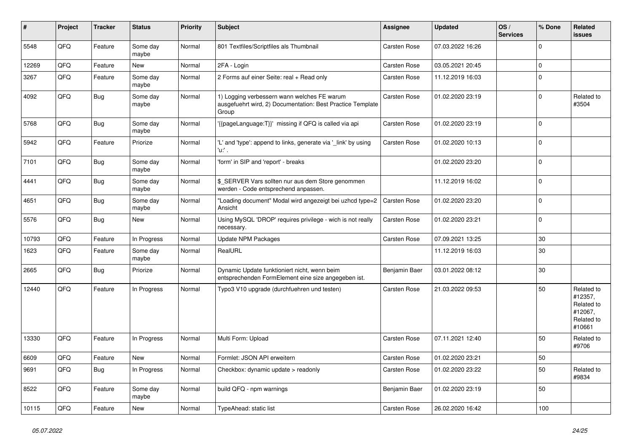| ∦     | Project | <b>Tracker</b> | <b>Status</b>     | <b>Priority</b> | <b>Subject</b>                                                                                                     | Assignee      | <b>Updated</b>   | OS/<br><b>Services</b> | % Done      | Related<br><b>issues</b>                                               |
|-------|---------|----------------|-------------------|-----------------|--------------------------------------------------------------------------------------------------------------------|---------------|------------------|------------------------|-------------|------------------------------------------------------------------------|
| 5548  | QFQ     | Feature        | Some day<br>maybe | Normal          | 801 Textfiles/Scriptfiles als Thumbnail                                                                            | Carsten Rose  | 07.03.2022 16:26 |                        | $\Omega$    |                                                                        |
| 12269 | QFQ     | Feature        | <b>New</b>        | Normal          | 2FA - Login                                                                                                        | Carsten Rose  | 03.05.2021 20:45 |                        | $\mathbf 0$ |                                                                        |
| 3267  | QFQ     | Feature        | Some day<br>maybe | Normal          | 2 Forms auf einer Seite: real + Read only                                                                          | Carsten Rose  | 11.12.2019 16:03 |                        | $\mathbf 0$ |                                                                        |
| 4092  | QFQ     | Bug            | Some day<br>maybe | Normal          | 1) Logging verbessern wann welches FE warum<br>ausgefuehrt wird, 2) Documentation: Best Practice Template<br>Group | Carsten Rose  | 01.02.2020 23:19 |                        | $\mathbf 0$ | Related to<br>#3504                                                    |
| 5768  | QFQ     | <b>Bug</b>     | Some day<br>maybe | Normal          | {{pageLanguage:T}}' missing if QFQ is called via api                                                               | Carsten Rose  | 01.02.2020 23:19 |                        | $\mathbf 0$ |                                                                        |
| 5942  | QFQ     | Feature        | Priorize          | Normal          | 'L' and 'type': append to links, generate via '_link' by using<br>'u:' .                                           | Carsten Rose  | 01.02.2020 10:13 |                        | $\mathbf 0$ |                                                                        |
| 7101  | QFQ     | <b>Bug</b>     | Some day<br>maybe | Normal          | 'form' in SIP and 'report' - breaks                                                                                |               | 01.02.2020 23:20 |                        | $\mathbf 0$ |                                                                        |
| 4441  | QFQ     | <b>Bug</b>     | Some day<br>maybe | Normal          | \$ SERVER Vars sollten nur aus dem Store genommen<br>werden - Code entsprechend anpassen.                          |               | 11.12.2019 16:02 |                        | $\mathbf 0$ |                                                                        |
| 4651  | QFQ     | <b>Bug</b>     | Some day<br>maybe | Normal          | 'Loading document" Modal wird angezeigt bei uzhcd type=2<br>Ansicht                                                | Carsten Rose  | 01.02.2020 23:20 |                        | $\mathbf 0$ |                                                                        |
| 5576  | QFQ     | Bug            | <b>New</b>        | Normal          | Using MySQL 'DROP' requires privilege - wich is not really<br>necessary.                                           | Carsten Rose  | 01.02.2020 23:21 |                        | $\mathbf 0$ |                                                                        |
| 10793 | QFQ     | Feature        | In Progress       | Normal          | <b>Update NPM Packages</b>                                                                                         | Carsten Rose  | 07.09.2021 13:25 |                        | 30          |                                                                        |
| 1623  | QFQ     | Feature        | Some day<br>maybe | Normal          | RealURL                                                                                                            |               | 11.12.2019 16:03 |                        | 30          |                                                                        |
| 2665  | QFQ     | <b>Bug</b>     | Priorize          | Normal          | Dynamic Update funktioniert nicht, wenn beim<br>entsprechenden FormElement eine size angegeben ist.                | Benjamin Baer | 03.01.2022 08:12 |                        | 30          |                                                                        |
| 12440 | QFQ     | Feature        | In Progress       | Normal          | Typo3 V10 upgrade (durchfuehren und testen)                                                                        | Carsten Rose  | 21.03.2022 09:53 |                        | 50          | Related to<br>#12357,<br>Related to<br>#12067,<br>Related to<br>#10661 |
| 13330 | QFQ     | Feature        | In Progress       | Normal          | Multi Form: Upload                                                                                                 | Carsten Rose  | 07.11.2021 12:40 |                        | 50          | Related to<br>#9706                                                    |
| 6609  | QFQ     | Feature        | <b>New</b>        | Normal          | Formlet: JSON API erweitern                                                                                        | Carsten Rose  | 01.02.2020 23:21 |                        | 50          |                                                                        |
| 9691  | QFQ     | Bug            | In Progress       | Normal          | Checkbox: dynamic update > readonly                                                                                | Carsten Rose  | 01.02.2020 23:22 |                        | 50          | Related to<br>#9834                                                    |
| 8522  | QFQ     | Feature        | Some day<br>maybe | Normal          | build QFQ - npm warnings                                                                                           | Benjamin Baer | 01.02.2020 23:19 |                        | 50          |                                                                        |
| 10115 | QFQ     | Feature        | New               | Normal          | TypeAhead: static list                                                                                             | Carsten Rose  | 26.02.2020 16:42 |                        | 100         |                                                                        |